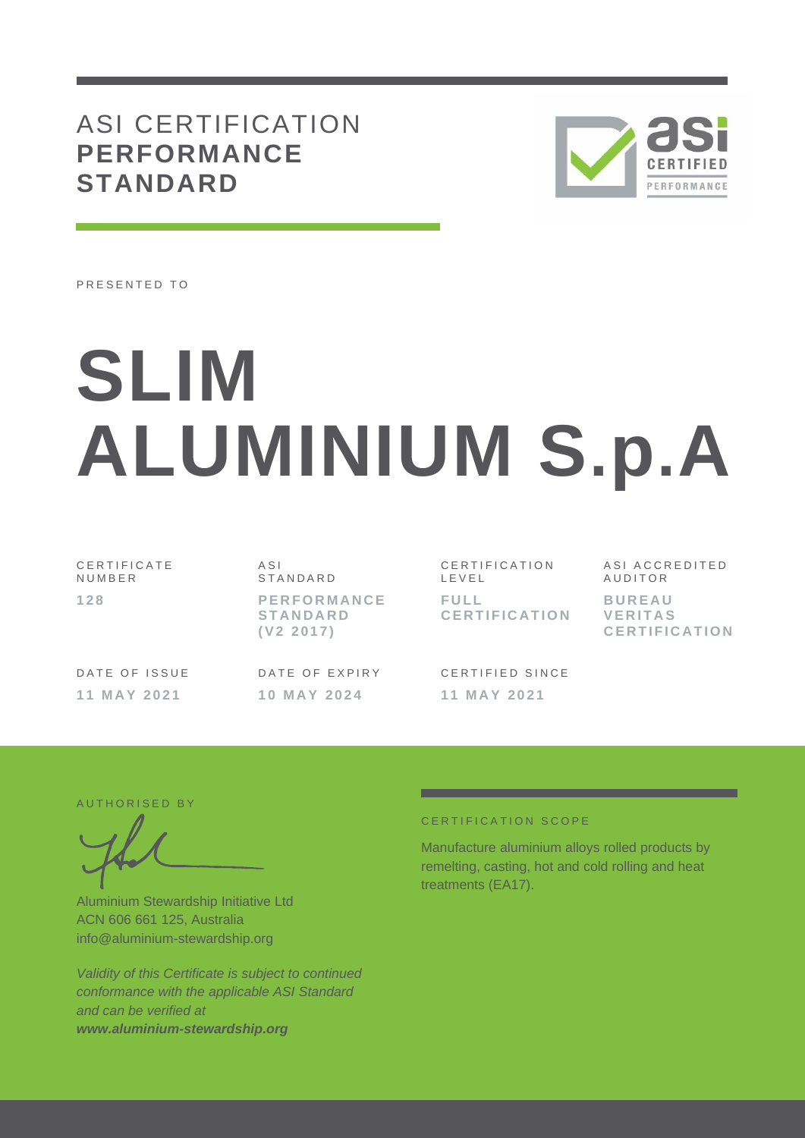## ASI CERTIFICATION **PERFORMANCE STANDARD**



PRESENTED TO

# **SLIM ALUMINIUM S.p.A**

C E R T I F I C A T E **NUMBER 1 2 8**

DATE OF ISSUE **1 1 M A Y 2 0 2 1**

A S I S T A N D A R D **P E R F O R M A N C E S T A N D A R D ( V 2 2 0 1 7 )**

DATE OF EXPIRY **1 0 M A Y 2 0 2 4**

CERTIFICATION L E V E L **F U L L C E R T I F I C A T I O N**

CERTIFIED SINCE **1 1 M A Y 2 0 2 1**

ASI ACCREDITED **AUDITOR B U R E A U V E R I T A S C E R T I F I C A T I O N**

AUTHORISED BY

Aluminium Stewardship Initiative Ltd ACN 606 661 125, Australia info@aluminium-stewardship.org

*Validity of this Certificate is subject to continued conformance with the applicable ASI Standard and can be verified at www.aluminium-stewardship.org*

#### CERTIFICATION SCOPE

Manufacture aluminium alloys rolled products by remelting, casting, hot and cold rolling and heat treatments (EA17).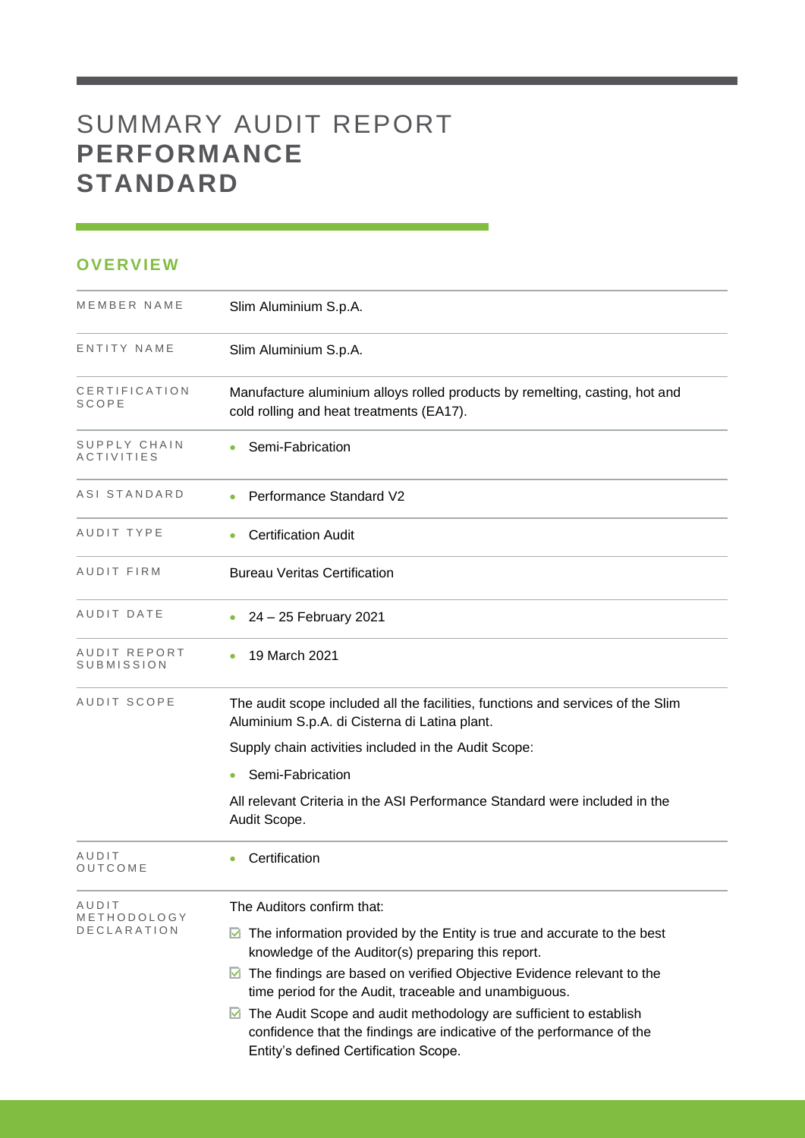# SUMMARY AUDIT REPORT **PERFORMANCE STANDARD**

### **OVERVIEW**

| MEMBER NAME                | Slim Aluminium S.p.A.                                                                                                                        |
|----------------------------|----------------------------------------------------------------------------------------------------------------------------------------------|
| ENTITY NAME                | Slim Aluminium S.p.A.                                                                                                                        |
| CERTIFICATION<br>SCOPE     | Manufacture aluminium alloys rolled products by remelting, casting, hot and<br>cold rolling and heat treatments (EA17).                      |
| SUPPLY CHAIN<br>ACTIVITIES | Semi-Fabrication                                                                                                                             |
| ASI STANDARD               | Performance Standard V2                                                                                                                      |
| AUDIT TYPE                 | <b>Certification Audit</b>                                                                                                                   |
| AUDIT FIRM                 | <b>Bureau Veritas Certification</b>                                                                                                          |
| AUDIT DATE                 | 24 – 25 February 2021                                                                                                                        |
| AUDIT REPORT<br>SUBMISSION | 19 March 2021                                                                                                                                |
| AUDIT SCOPE                | The audit scope included all the facilities, functions and services of the Slim<br>Aluminium S.p.A. di Cisterna di Latina plant.             |
|                            | Supply chain activities included in the Audit Scope:                                                                                         |
|                            | Semi-Fabrication                                                                                                                             |
|                            | All relevant Criteria in the ASI Performance Standard were included in the<br>Audit Scope.                                                   |
| AUDIT<br>OUTCOME           | Certification                                                                                                                                |
| AUDIT<br>METHODOLOGY       | The Auditors confirm that:                                                                                                                   |
| DECLARATION                | $\blacksquare$ The information provided by the Entity is true and accurate to the best<br>knowledge of the Auditor(s) preparing this report. |
|                            | The findings are based on verified Objective Evidence relevant to the<br>M<br>time period for the Audit, traceable and unambiguous.          |
|                            | The Audit Scope and audit methodology are sufficient to establish<br>M                                                                       |
|                            | confidence that the findings are indicative of the performance of the<br>Entity's defined Certification Scope.                               |

and the control of the control of the control of the control of the control of the control of the control of the control of the control of the control of the control of the control of the control of the control of the cont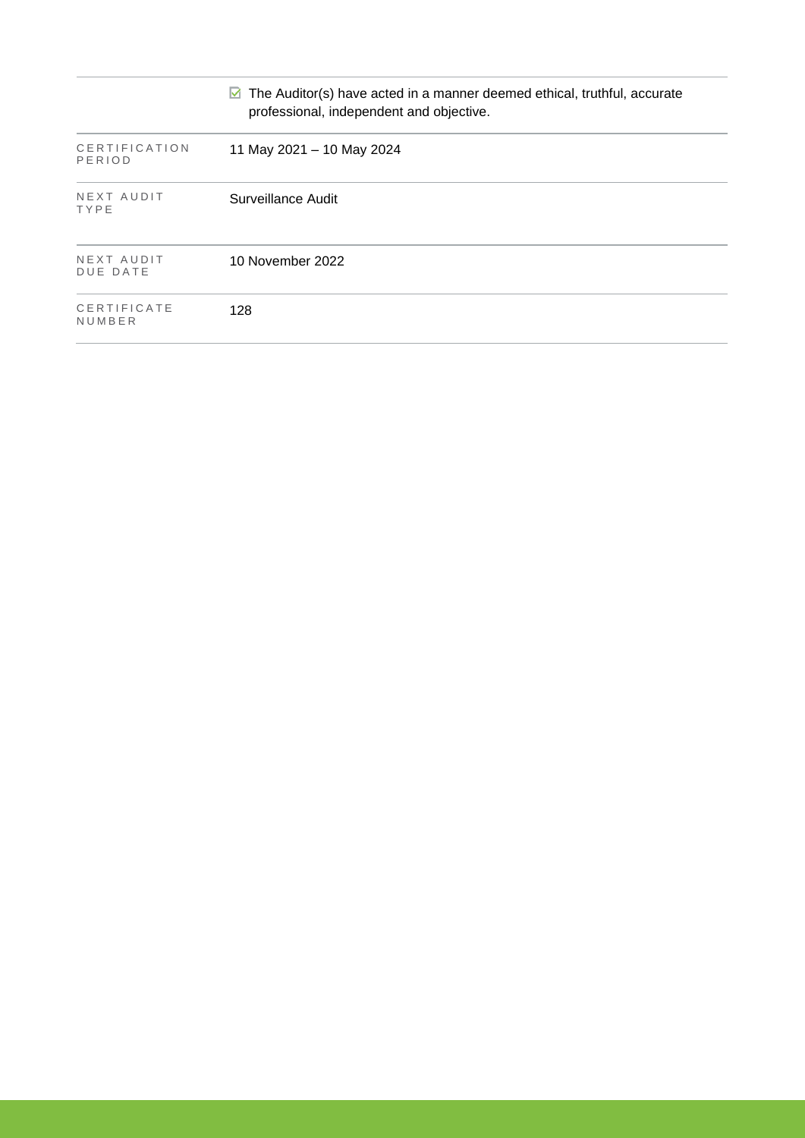|                               | The Auditor(s) have acted in a manner deemed ethical, truthful, accurate<br>M<br>professional, independent and objective. |
|-------------------------------|---------------------------------------------------------------------------------------------------------------------------|
| CERTIFICATION<br>PERIOD       | 11 May 2021 - 10 May 2024                                                                                                 |
| NEXT AUDIT<br>TYPE            | Surveillance Audit                                                                                                        |
| NEXT AUDIT<br><b>DUE DATE</b> | 10 November 2022                                                                                                          |
| CERTIFICATE<br>NUMBER         | 128                                                                                                                       |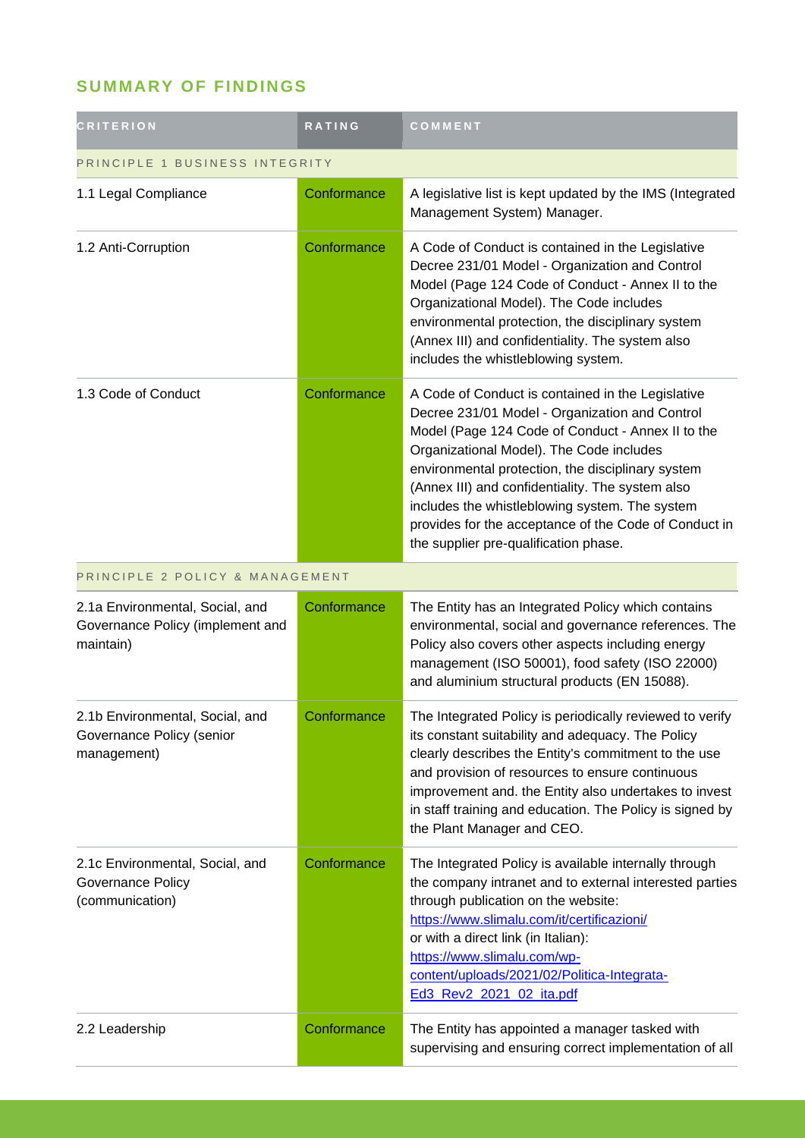## **SUMMARY OF FINDINGS**

| <b>CRITERION</b>                                                                 | <b>RATING</b> | COMMENT                                                                                                                                                                                                                                                                                                                                                                                                                                                           |  |
|----------------------------------------------------------------------------------|---------------|-------------------------------------------------------------------------------------------------------------------------------------------------------------------------------------------------------------------------------------------------------------------------------------------------------------------------------------------------------------------------------------------------------------------------------------------------------------------|--|
| PRINCIPLE 1 BUSINESS INTEGRITY                                                   |               |                                                                                                                                                                                                                                                                                                                                                                                                                                                                   |  |
| 1.1 Legal Compliance                                                             | Conformance   | A legislative list is kept updated by the IMS (Integrated<br>Management System) Manager.                                                                                                                                                                                                                                                                                                                                                                          |  |
| 1.2 Anti-Corruption                                                              | Conformance   | A Code of Conduct is contained in the Legislative<br>Decree 231/01 Model - Organization and Control<br>Model (Page 124 Code of Conduct - Annex II to the<br>Organizational Model). The Code includes<br>environmental protection, the disciplinary system<br>(Annex III) and confidentiality. The system also<br>includes the whistleblowing system.                                                                                                              |  |
| 1.3 Code of Conduct                                                              | Conformance   | A Code of Conduct is contained in the Legislative<br>Decree 231/01 Model - Organization and Control<br>Model (Page 124 Code of Conduct - Annex II to the<br>Organizational Model). The Code includes<br>environmental protection, the disciplinary system<br>(Annex III) and confidentiality. The system also<br>includes the whistleblowing system. The system<br>provides for the acceptance of the Code of Conduct in<br>the supplier pre-qualification phase. |  |
| PRINCIPLE 2 POLICY & MANAGEMENT                                                  |               |                                                                                                                                                                                                                                                                                                                                                                                                                                                                   |  |
| 2.1a Environmental, Social, and<br>Governance Policy (implement and<br>maintain) | Conformance   | The Entity has an Integrated Policy which contains<br>environmental, social and governance references. The<br>Policy also covers other aspects including energy<br>management (ISO 50001), food safety (ISO 22000)<br>and aluminium structural products (EN 15088).                                                                                                                                                                                               |  |
| 2.1b Environmental, Social, and<br>Governance Policy (senior<br>management)      | Conformance   | The Integrated Policy is periodically reviewed to verify<br>its constant suitability and adequacy. The Policy<br>clearly describes the Entity's commitment to the use<br>and provision of resources to ensure continuous<br>improvement and. the Entity also undertakes to invest<br>in staff training and education. The Policy is signed by<br>the Plant Manager and CEO.                                                                                       |  |
| 2.1c Environmental, Social, and<br>Governance Policy<br>(communication)          | Conformance   | The Integrated Policy is available internally through<br>the company intranet and to external interested parties<br>through publication on the website:<br>https://www.slimalu.com/it/certificazioni/<br>or with a direct link (in Italian):<br>https://www.slimalu.com/wp-<br>content/uploads/2021/02/Politica-Integrata-<br>Ed3_Rev2_2021_02_ita.pdf                                                                                                            |  |
| 2.2 Leadership                                                                   | Conformance   | The Entity has appointed a manager tasked with<br>supervising and ensuring correct implementation of all                                                                                                                                                                                                                                                                                                                                                          |  |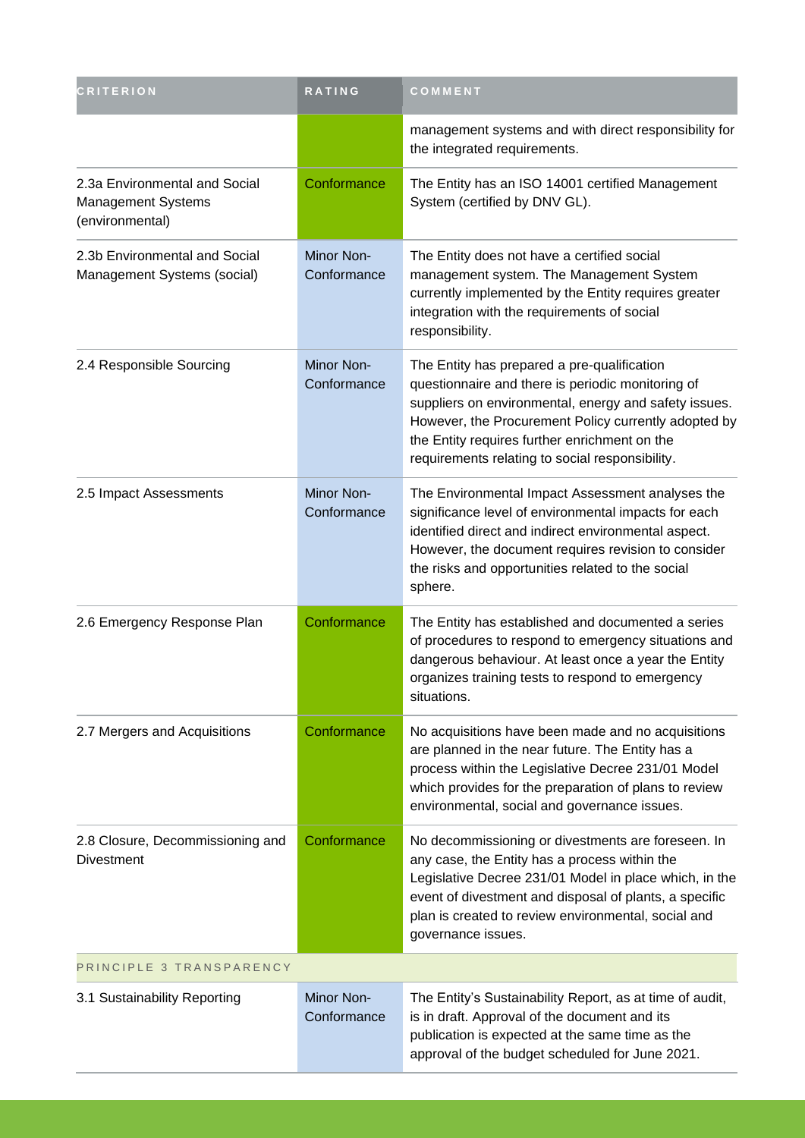| <b>CRITERION</b>                                                              | RATING                    | COMMENT                                                                                                                                                                                                                                                                                                               |  |
|-------------------------------------------------------------------------------|---------------------------|-----------------------------------------------------------------------------------------------------------------------------------------------------------------------------------------------------------------------------------------------------------------------------------------------------------------------|--|
|                                                                               |                           | management systems and with direct responsibility for<br>the integrated requirements.                                                                                                                                                                                                                                 |  |
| 2.3a Environmental and Social<br><b>Management Systems</b><br>(environmental) | Conformance               | The Entity has an ISO 14001 certified Management<br>System (certified by DNV GL).                                                                                                                                                                                                                                     |  |
| 2.3b Environmental and Social<br>Management Systems (social)                  | Minor Non-<br>Conformance | The Entity does not have a certified social<br>management system. The Management System<br>currently implemented by the Entity requires greater<br>integration with the requirements of social<br>responsibility.                                                                                                     |  |
| 2.4 Responsible Sourcing                                                      | Minor Non-<br>Conformance | The Entity has prepared a pre-qualification<br>questionnaire and there is periodic monitoring of<br>suppliers on environmental, energy and safety issues.<br>However, the Procurement Policy currently adopted by<br>the Entity requires further enrichment on the<br>requirements relating to social responsibility. |  |
| 2.5 Impact Assessments                                                        | Minor Non-<br>Conformance | The Environmental Impact Assessment analyses the<br>significance level of environmental impacts for each<br>identified direct and indirect environmental aspect.<br>However, the document requires revision to consider<br>the risks and opportunities related to the social<br>sphere.                               |  |
| 2.6 Emergency Response Plan                                                   | Conformance               | The Entity has established and documented a series<br>of procedures to respond to emergency situations and<br>dangerous behaviour. At least once a year the Entity<br>organizes training tests to respond to emergency<br>situations.                                                                                 |  |
| 2.7 Mergers and Acquisitions                                                  | Conformance               | No acquisitions have been made and no acquisitions<br>are planned in the near future. The Entity has a<br>process within the Legislative Decree 231/01 Model<br>which provides for the preparation of plans to review<br>environmental, social and governance issues.                                                 |  |
| 2.8 Closure, Decommissioning and<br><b>Divestment</b>                         | Conformance               | No decommissioning or divestments are foreseen. In<br>any case, the Entity has a process within the<br>Legislative Decree 231/01 Model in place which, in the<br>event of divestment and disposal of plants, a specific<br>plan is created to review environmental, social and<br>governance issues.                  |  |
| PRINCIPLE 3 TRANSPARENCY                                                      |                           |                                                                                                                                                                                                                                                                                                                       |  |
| 3.1 Sustainability Reporting                                                  | Minor Non-<br>Conformance | The Entity's Sustainability Report, as at time of audit,<br>is in draft. Approval of the document and its<br>publication is expected at the same time as the<br>approval of the budget scheduled for June 2021.                                                                                                       |  |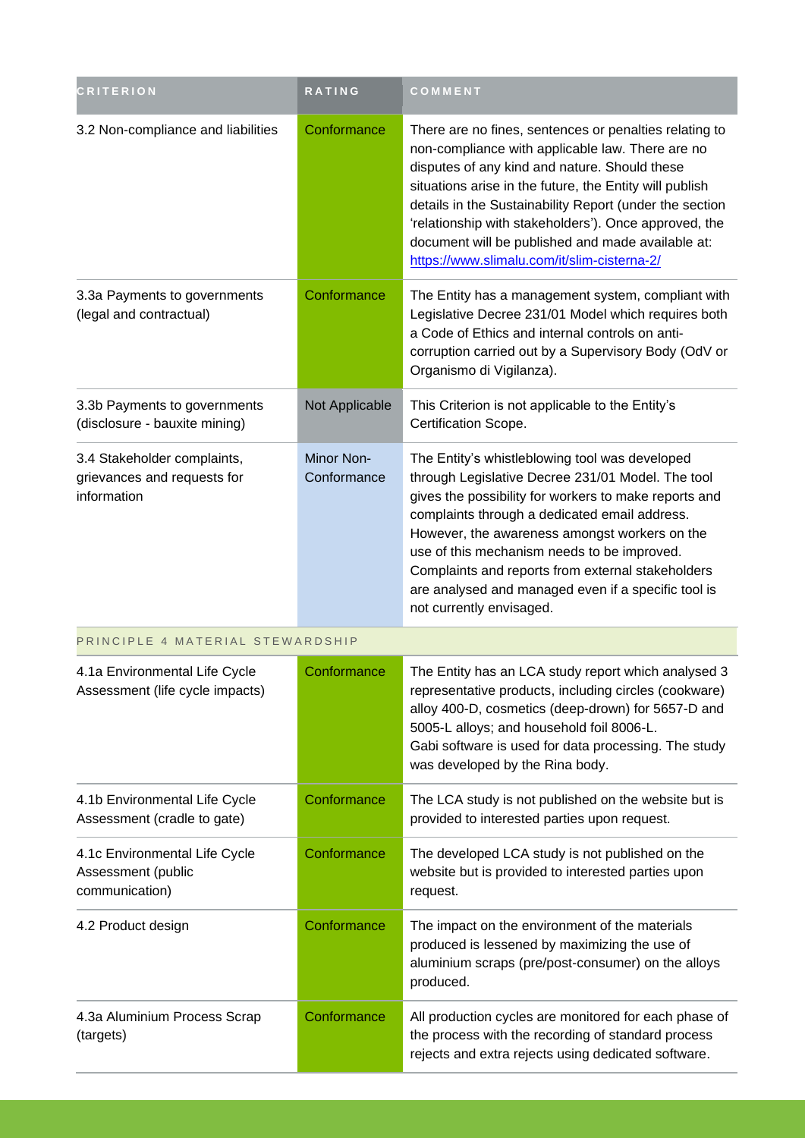| <b>CRITERION</b>                                                          | RATING                           | COMMENT                                                                                                                                                                                                                                                                                                                                                                                                                                               |  |  |
|---------------------------------------------------------------------------|----------------------------------|-------------------------------------------------------------------------------------------------------------------------------------------------------------------------------------------------------------------------------------------------------------------------------------------------------------------------------------------------------------------------------------------------------------------------------------------------------|--|--|
| 3.2 Non-compliance and liabilities                                        | Conformance                      | There are no fines, sentences or penalties relating to<br>non-compliance with applicable law. There are no<br>disputes of any kind and nature. Should these<br>situations arise in the future, the Entity will publish<br>details in the Sustainability Report (under the section<br>'relationship with stakeholders'). Once approved, the<br>document will be published and made available at:<br>https://www.slimalu.com/it/slim-cisterna-2/        |  |  |
| 3.3a Payments to governments<br>(legal and contractual)                   | Conformance                      | The Entity has a management system, compliant with<br>Legislative Decree 231/01 Model which requires both<br>a Code of Ethics and internal controls on anti-<br>corruption carried out by a Supervisory Body (OdV or<br>Organismo di Vigilanza).                                                                                                                                                                                                      |  |  |
| 3.3b Payments to governments<br>(disclosure - bauxite mining)             | Not Applicable                   | This Criterion is not applicable to the Entity's<br>Certification Scope.                                                                                                                                                                                                                                                                                                                                                                              |  |  |
| 3.4 Stakeholder complaints,<br>grievances and requests for<br>information | Minor Non-<br>Conformance        | The Entity's whistleblowing tool was developed<br>through Legislative Decree 231/01 Model. The tool<br>gives the possibility for workers to make reports and<br>complaints through a dedicated email address.<br>However, the awareness amongst workers on the<br>use of this mechanism needs to be improved.<br>Complaints and reports from external stakeholders<br>are analysed and managed even if a specific tool is<br>not currently envisaged. |  |  |
|                                                                           | PRINCIPLE 4 MATERIAL STEWARDSHIP |                                                                                                                                                                                                                                                                                                                                                                                                                                                       |  |  |
| 4.1a Environmental Life Cycle<br>Assessment (life cycle impacts)          | Conformance                      | The Entity has an LCA study report which analysed 3<br>representative products, including circles (cookware)<br>alloy 400-D, cosmetics (deep-drown) for 5657-D and<br>5005-L alloys; and household foil 8006-L.<br>Gabi software is used for data processing. The study<br>was developed by the Rina body.                                                                                                                                            |  |  |
| 4.1b Environmental Life Cycle<br>Assessment (cradle to gate)              | Conformance                      | The LCA study is not published on the website but is<br>provided to interested parties upon request.                                                                                                                                                                                                                                                                                                                                                  |  |  |
| 4.1c Environmental Life Cycle<br>Assessment (public<br>communication)     | Conformance                      | The developed LCA study is not published on the<br>website but is provided to interested parties upon<br>request.                                                                                                                                                                                                                                                                                                                                     |  |  |
| 4.2 Product design                                                        | Conformance                      | The impact on the environment of the materials<br>produced is lessened by maximizing the use of<br>aluminium scraps (pre/post-consumer) on the alloys<br>produced.                                                                                                                                                                                                                                                                                    |  |  |
| 4.3a Aluminium Process Scrap<br>(targets)                                 | Conformance                      | All production cycles are monitored for each phase of<br>the process with the recording of standard process<br>rejects and extra rejects using dedicated software.                                                                                                                                                                                                                                                                                    |  |  |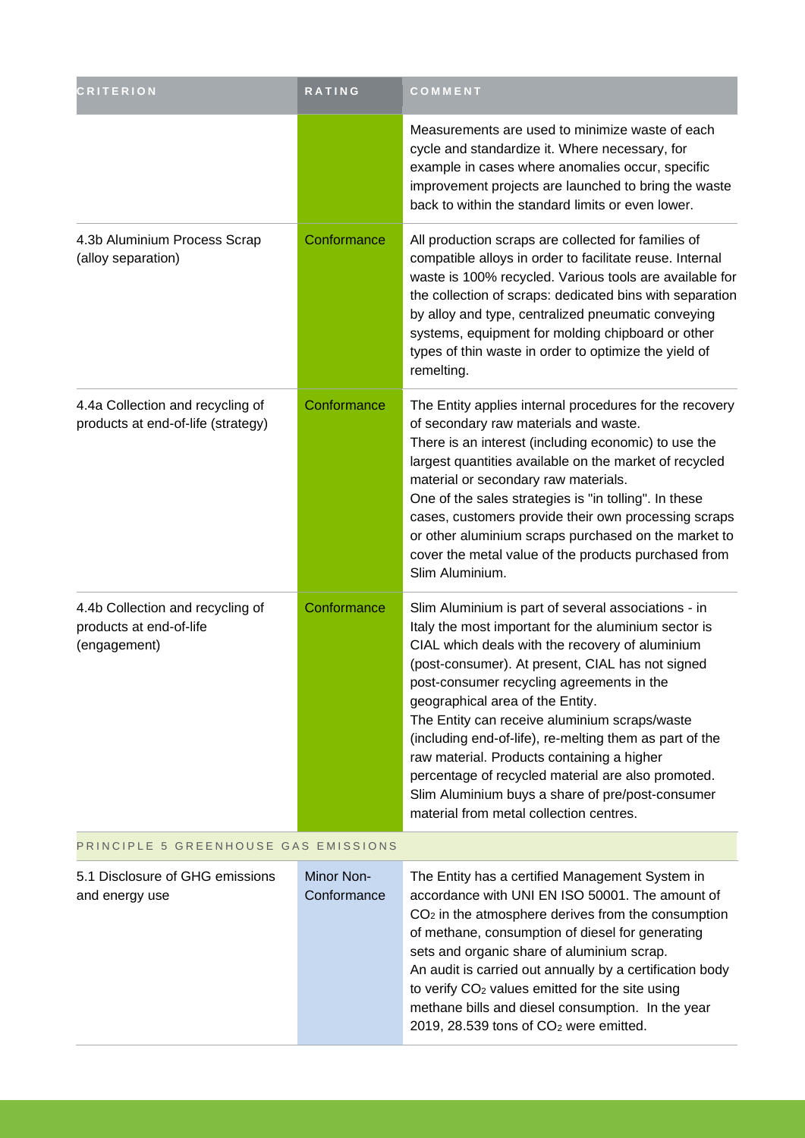| <b>CRITERION</b>                                                            | <b>RATING</b>             | COMMENT                                                                                                                                                                                                                                                                                                                                                                                                                                                                                                                                                                                                            |  |
|-----------------------------------------------------------------------------|---------------------------|--------------------------------------------------------------------------------------------------------------------------------------------------------------------------------------------------------------------------------------------------------------------------------------------------------------------------------------------------------------------------------------------------------------------------------------------------------------------------------------------------------------------------------------------------------------------------------------------------------------------|--|
|                                                                             |                           | Measurements are used to minimize waste of each<br>cycle and standardize it. Where necessary, for<br>example in cases where anomalies occur, specific<br>improvement projects are launched to bring the waste<br>back to within the standard limits or even lower.                                                                                                                                                                                                                                                                                                                                                 |  |
| 4.3b Aluminium Process Scrap<br>(alloy separation)                          | Conformance               | All production scraps are collected for families of<br>compatible alloys in order to facilitate reuse. Internal<br>waste is 100% recycled. Various tools are available for<br>the collection of scraps: dedicated bins with separation<br>by alloy and type, centralized pneumatic conveying<br>systems, equipment for molding chipboard or other<br>types of thin waste in order to optimize the yield of<br>remelting.                                                                                                                                                                                           |  |
| 4.4a Collection and recycling of<br>products at end-of-life (strategy)      | Conformance               | The Entity applies internal procedures for the recovery<br>of secondary raw materials and waste.<br>There is an interest (including economic) to use the<br>largest quantities available on the market of recycled<br>material or secondary raw materials.<br>One of the sales strategies is "in tolling". In these<br>cases, customers provide their own processing scraps<br>or other aluminium scraps purchased on the market to<br>cover the metal value of the products purchased from<br>Slim Aluminium.                                                                                                     |  |
| 4.4b Collection and recycling of<br>products at end-of-life<br>(engagement) | Conformance               | Slim Aluminium is part of several associations - in<br>Italy the most important for the aluminium sector is<br>CIAL which deals with the recovery of aluminium<br>(post-consumer). At present, CIAL has not signed<br>post-consumer recycling agreements in the<br>geographical area of the Entity.<br>The Entity can receive aluminium scraps/waste<br>(including end-of-life), re-melting them as part of the<br>raw material. Products containing a higher<br>percentage of recycled material are also promoted.<br>Slim Aluminium buys a share of pre/post-consumer<br>material from metal collection centres. |  |
| PRINCIPLE 5 GREENHOUSE GAS EMISSIONS                                        |                           |                                                                                                                                                                                                                                                                                                                                                                                                                                                                                                                                                                                                                    |  |
| 5.1 Disclosure of GHG emissions<br>and energy use                           | Minor Non-<br>Conformance | The Entity has a certified Management System in<br>accordance with UNI EN ISO 50001. The amount of<br>$CO2$ in the atmosphere derives from the consumption<br>of methane, consumption of diesel for generating<br>sets and organic share of aluminium scrap.<br>An audit is carried out annually by a certification body<br>to verify CO <sub>2</sub> values emitted for the site using<br>methane bills and diesel consumption. In the year<br>2019, 28.539 tons of $CO2$ were emitted.                                                                                                                           |  |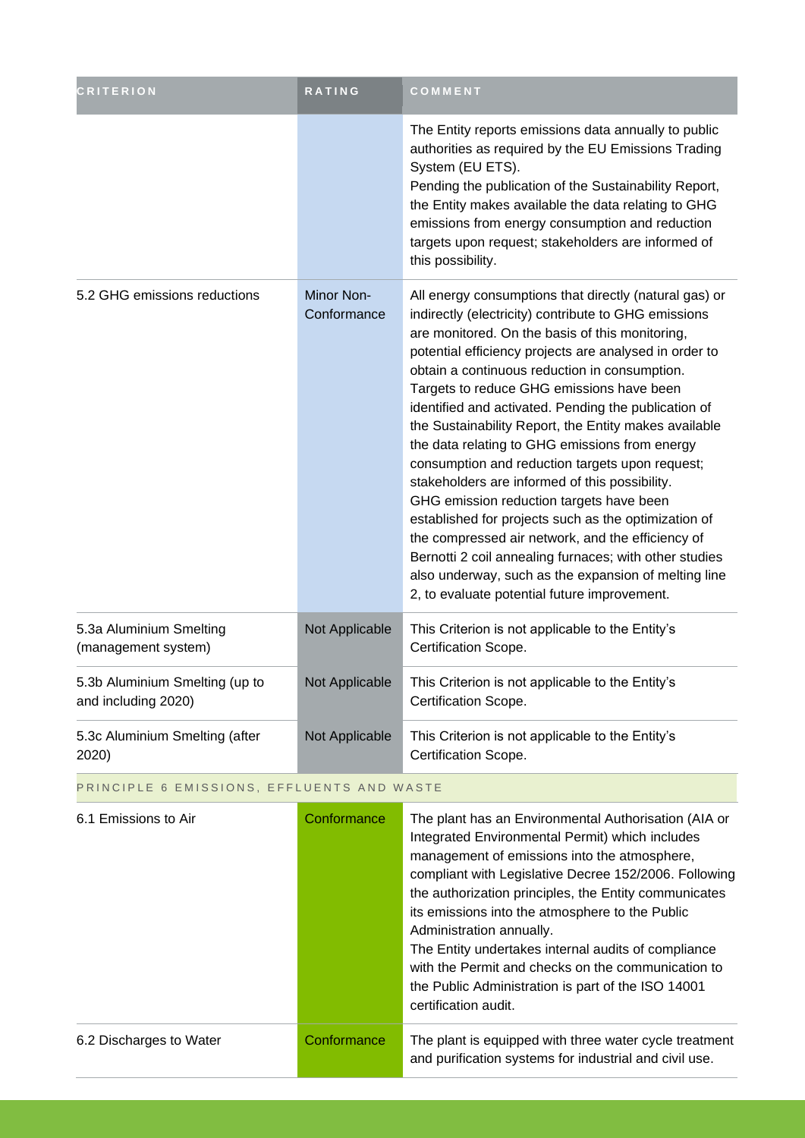| <b>CRITERION</b>                                      | <b>RATING</b>             | COMMENT                                                                                                                                                                                                                                                                                                                                                                                                                                                                                                                                                                                                                                                                                                                                                                                                                                                                                                                      |
|-------------------------------------------------------|---------------------------|------------------------------------------------------------------------------------------------------------------------------------------------------------------------------------------------------------------------------------------------------------------------------------------------------------------------------------------------------------------------------------------------------------------------------------------------------------------------------------------------------------------------------------------------------------------------------------------------------------------------------------------------------------------------------------------------------------------------------------------------------------------------------------------------------------------------------------------------------------------------------------------------------------------------------|
|                                                       |                           | The Entity reports emissions data annually to public<br>authorities as required by the EU Emissions Trading<br>System (EU ETS).<br>Pending the publication of the Sustainability Report,<br>the Entity makes available the data relating to GHG<br>emissions from energy consumption and reduction<br>targets upon request; stakeholders are informed of<br>this possibility.                                                                                                                                                                                                                                                                                                                                                                                                                                                                                                                                                |
| 5.2 GHG emissions reductions                          | Minor Non-<br>Conformance | All energy consumptions that directly (natural gas) or<br>indirectly (electricity) contribute to GHG emissions<br>are monitored. On the basis of this monitoring,<br>potential efficiency projects are analysed in order to<br>obtain a continuous reduction in consumption.<br>Targets to reduce GHG emissions have been<br>identified and activated. Pending the publication of<br>the Sustainability Report, the Entity makes available<br>the data relating to GHG emissions from energy<br>consumption and reduction targets upon request;<br>stakeholders are informed of this possibility.<br>GHG emission reduction targets have been<br>established for projects such as the optimization of<br>the compressed air network, and the efficiency of<br>Bernotti 2 coil annealing furnaces; with other studies<br>also underway, such as the expansion of melting line<br>2, to evaluate potential future improvement. |
| 5.3a Aluminium Smelting<br>(management system)        | Not Applicable            | This Criterion is not applicable to the Entity's<br>Certification Scope.                                                                                                                                                                                                                                                                                                                                                                                                                                                                                                                                                                                                                                                                                                                                                                                                                                                     |
| 5.3b Aluminium Smelting (up to<br>and including 2020) | Not Applicable            | This Criterion is not applicable to the Entity's<br>Certification Scope.                                                                                                                                                                                                                                                                                                                                                                                                                                                                                                                                                                                                                                                                                                                                                                                                                                                     |
| 5.3c Aluminium Smelting (after<br>2020)               | Not Applicable            | This Criterion is not applicable to the Entity's<br>Certification Scope.                                                                                                                                                                                                                                                                                                                                                                                                                                                                                                                                                                                                                                                                                                                                                                                                                                                     |
| PRINCIPLE 6 EMISSIONS, EFFLUENTS AND WASTE            |                           |                                                                                                                                                                                                                                                                                                                                                                                                                                                                                                                                                                                                                                                                                                                                                                                                                                                                                                                              |
| 6.1 Emissions to Air                                  | Conformance               | The plant has an Environmental Authorisation (AIA or<br>Integrated Environmental Permit) which includes<br>management of emissions into the atmosphere,<br>compliant with Legislative Decree 152/2006. Following<br>the authorization principles, the Entity communicates<br>its emissions into the atmosphere to the Public<br>Administration annually.<br>The Entity undertakes internal audits of compliance<br>with the Permit and checks on the communication to<br>the Public Administration is part of the ISO 14001<br>certification audit.                                                                                                                                                                                                                                                                                                                                                                          |
| 6.2 Discharges to Water                               | Conformance               | The plant is equipped with three water cycle treatment                                                                                                                                                                                                                                                                                                                                                                                                                                                                                                                                                                                                                                                                                                                                                                                                                                                                       |

and purification systems for industrial and civil use.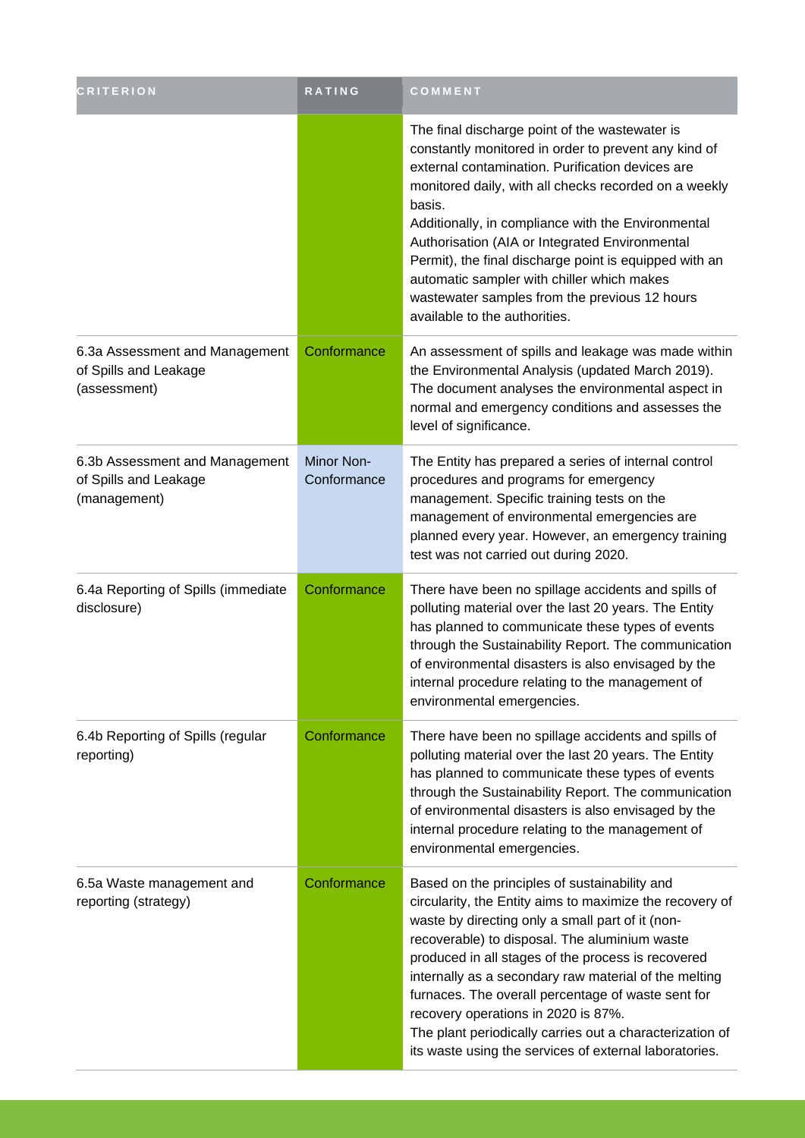| <b>CRITERION</b>                                                        | RATING                    | COMMENT                                                                                                                                                                                                                                                                                                                                                                                                                                                                                                                                          |
|-------------------------------------------------------------------------|---------------------------|--------------------------------------------------------------------------------------------------------------------------------------------------------------------------------------------------------------------------------------------------------------------------------------------------------------------------------------------------------------------------------------------------------------------------------------------------------------------------------------------------------------------------------------------------|
|                                                                         |                           | The final discharge point of the wastewater is<br>constantly monitored in order to prevent any kind of<br>external contamination. Purification devices are<br>monitored daily, with all checks recorded on a weekly<br>basis.<br>Additionally, in compliance with the Environmental<br>Authorisation (AIA or Integrated Environmental<br>Permit), the final discharge point is equipped with an<br>automatic sampler with chiller which makes<br>wastewater samples from the previous 12 hours<br>available to the authorities.                  |
| 6.3a Assessment and Management<br>of Spills and Leakage<br>(assessment) | Conformance               | An assessment of spills and leakage was made within<br>the Environmental Analysis (updated March 2019).<br>The document analyses the environmental aspect in<br>normal and emergency conditions and assesses the<br>level of significance.                                                                                                                                                                                                                                                                                                       |
| 6.3b Assessment and Management<br>of Spills and Leakage<br>(management) | Minor Non-<br>Conformance | The Entity has prepared a series of internal control<br>procedures and programs for emergency<br>management. Specific training tests on the<br>management of environmental emergencies are<br>planned every year. However, an emergency training<br>test was not carried out during 2020.                                                                                                                                                                                                                                                        |
| 6.4a Reporting of Spills (immediate<br>disclosure)                      | Conformance               | There have been no spillage accidents and spills of<br>polluting material over the last 20 years. The Entity<br>has planned to communicate these types of events<br>through the Sustainability Report. The communication<br>of environmental disasters is also envisaged by the<br>internal procedure relating to the management of<br>environmental emergencies.                                                                                                                                                                                |
| 6.4b Reporting of Spills (regular<br>reporting)                         | Conformance               | There have been no spillage accidents and spills of<br>polluting material over the last 20 years. The Entity<br>has planned to communicate these types of events<br>through the Sustainability Report. The communication<br>of environmental disasters is also envisaged by the<br>internal procedure relating to the management of<br>environmental emergencies.                                                                                                                                                                                |
| 6.5a Waste management and<br>reporting (strategy)                       | Conformance               | Based on the principles of sustainability and<br>circularity, the Entity aims to maximize the recovery of<br>waste by directing only a small part of it (non-<br>recoverable) to disposal. The aluminium waste<br>produced in all stages of the process is recovered<br>internally as a secondary raw material of the melting<br>furnaces. The overall percentage of waste sent for<br>recovery operations in 2020 is 87%.<br>The plant periodically carries out a characterization of<br>its waste using the services of external laboratories. |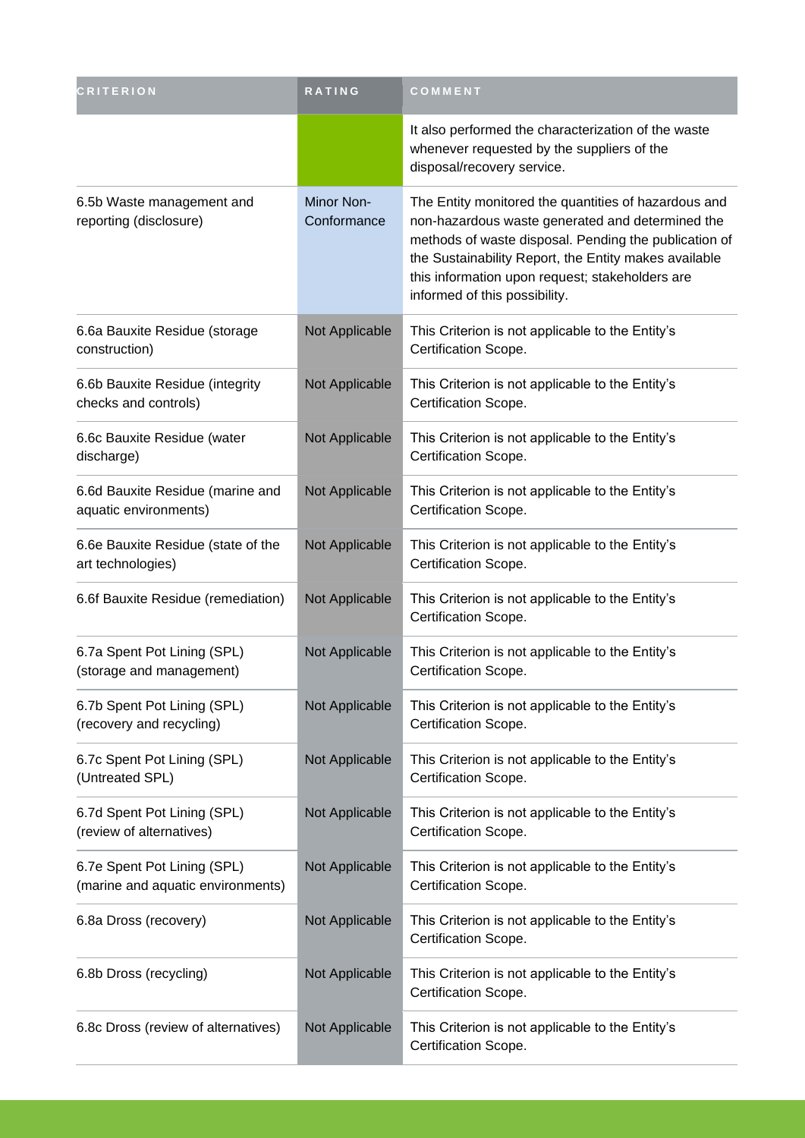| <b>CRITERION</b>                                                 | <b>RATING</b>             | COMMENT                                                                                                                                                                                                                                                                                                        |
|------------------------------------------------------------------|---------------------------|----------------------------------------------------------------------------------------------------------------------------------------------------------------------------------------------------------------------------------------------------------------------------------------------------------------|
|                                                                  |                           | It also performed the characterization of the waste<br>whenever requested by the suppliers of the<br>disposal/recovery service.                                                                                                                                                                                |
| 6.5b Waste management and<br>reporting (disclosure)              | Minor Non-<br>Conformance | The Entity monitored the quantities of hazardous and<br>non-hazardous waste generated and determined the<br>methods of waste disposal. Pending the publication of<br>the Sustainability Report, the Entity makes available<br>this information upon request; stakeholders are<br>informed of this possibility. |
| 6.6a Bauxite Residue (storage<br>construction)                   | Not Applicable            | This Criterion is not applicable to the Entity's<br>Certification Scope.                                                                                                                                                                                                                                       |
| 6.6b Bauxite Residue (integrity<br>checks and controls)          | Not Applicable            | This Criterion is not applicable to the Entity's<br>Certification Scope.                                                                                                                                                                                                                                       |
| 6.6c Bauxite Residue (water<br>discharge)                        | Not Applicable            | This Criterion is not applicable to the Entity's<br>Certification Scope.                                                                                                                                                                                                                                       |
| 6.6d Bauxite Residue (marine and<br>aquatic environments)        | Not Applicable            | This Criterion is not applicable to the Entity's<br>Certification Scope.                                                                                                                                                                                                                                       |
| 6.6e Bauxite Residue (state of the<br>art technologies)          | Not Applicable            | This Criterion is not applicable to the Entity's<br>Certification Scope.                                                                                                                                                                                                                                       |
| 6.6f Bauxite Residue (remediation)                               | Not Applicable            | This Criterion is not applicable to the Entity's<br>Certification Scope.                                                                                                                                                                                                                                       |
| 6.7a Spent Pot Lining (SPL)<br>(storage and management)          | Not Applicable            | This Criterion is not applicable to the Entity's<br>Certification Scope.                                                                                                                                                                                                                                       |
| 6.7b Spent Pot Lining (SPL)<br>(recovery and recycling)          | Not Applicable            | This Criterion is not applicable to the Entity's<br>Certification Scope.                                                                                                                                                                                                                                       |
| 6.7c Spent Pot Lining (SPL)<br>(Untreated SPL)                   | Not Applicable            | This Criterion is not applicable to the Entity's<br>Certification Scope.                                                                                                                                                                                                                                       |
| 6.7d Spent Pot Lining (SPL)<br>(review of alternatives)          | Not Applicable            | This Criterion is not applicable to the Entity's<br>Certification Scope.                                                                                                                                                                                                                                       |
| 6.7e Spent Pot Lining (SPL)<br>(marine and aquatic environments) | Not Applicable            | This Criterion is not applicable to the Entity's<br>Certification Scope.                                                                                                                                                                                                                                       |
| 6.8a Dross (recovery)                                            | Not Applicable            | This Criterion is not applicable to the Entity's<br>Certification Scope.                                                                                                                                                                                                                                       |
| 6.8b Dross (recycling)                                           | Not Applicable            | This Criterion is not applicable to the Entity's<br>Certification Scope.                                                                                                                                                                                                                                       |
| 6.8c Dross (review of alternatives)                              | Not Applicable            | This Criterion is not applicable to the Entity's<br>Certification Scope.                                                                                                                                                                                                                                       |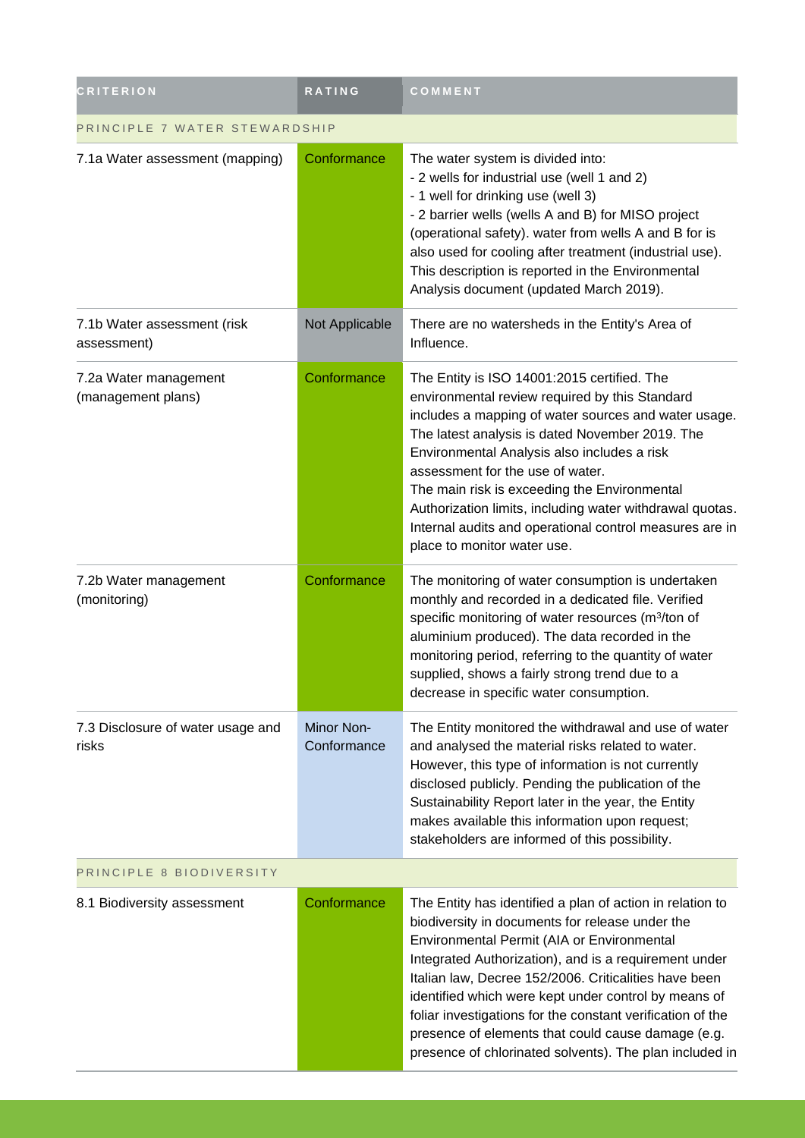| <b>CRITERION</b>                            | <b>RATING</b>             | COMMENT                                                                                                                                                                                                                                                                                                                                                                                                                                                                                                             |  |
|---------------------------------------------|---------------------------|---------------------------------------------------------------------------------------------------------------------------------------------------------------------------------------------------------------------------------------------------------------------------------------------------------------------------------------------------------------------------------------------------------------------------------------------------------------------------------------------------------------------|--|
| PRINCIPLE 7 WATER STEWARDSHIP               |                           |                                                                                                                                                                                                                                                                                                                                                                                                                                                                                                                     |  |
| 7.1a Water assessment (mapping)             | Conformance               | The water system is divided into:<br>- 2 wells for industrial use (well 1 and 2)<br>- 1 well for drinking use (well 3)<br>- 2 barrier wells (wells A and B) for MISO project<br>(operational safety). water from wells A and B for is<br>also used for cooling after treatment (industrial use).<br>This description is reported in the Environmental<br>Analysis document (updated March 2019).                                                                                                                    |  |
| 7.1b Water assessment (risk<br>assessment)  | Not Applicable            | There are no watersheds in the Entity's Area of<br>Influence.                                                                                                                                                                                                                                                                                                                                                                                                                                                       |  |
| 7.2a Water management<br>(management plans) | Conformance               | The Entity is ISO 14001:2015 certified. The<br>environmental review required by this Standard<br>includes a mapping of water sources and water usage.<br>The latest analysis is dated November 2019. The<br>Environmental Analysis also includes a risk<br>assessment for the use of water.<br>The main risk is exceeding the Environmental<br>Authorization limits, including water withdrawal quotas.<br>Internal audits and operational control measures are in<br>place to monitor water use.                   |  |
| 7.2b Water management<br>(monitoring)       | Conformance               | The monitoring of water consumption is undertaken<br>monthly and recorded in a dedicated file. Verified<br>specific monitoring of water resources (m <sup>3</sup> /ton of<br>aluminium produced). The data recorded in the<br>monitoring period, referring to the quantity of water<br>supplied, shows a fairly strong trend due to a<br>decrease in specific water consumption.                                                                                                                                    |  |
| 7.3 Disclosure of water usage and<br>risks  | Minor Non-<br>Conformance | The Entity monitored the withdrawal and use of water<br>and analysed the material risks related to water.<br>However, this type of information is not currently<br>disclosed publicly. Pending the publication of the<br>Sustainability Report later in the year, the Entity<br>makes available this information upon request;<br>stakeholders are informed of this possibility.                                                                                                                                    |  |
| PRINCIPLE 8 BIODIVERSITY                    |                           |                                                                                                                                                                                                                                                                                                                                                                                                                                                                                                                     |  |
| 8.1 Biodiversity assessment                 | Conformance               | The Entity has identified a plan of action in relation to<br>biodiversity in documents for release under the<br>Environmental Permit (AIA or Environmental<br>Integrated Authorization), and is a requirement under<br>Italian law, Decree 152/2006. Criticalities have been<br>identified which were kept under control by means of<br>foliar investigations for the constant verification of the<br>presence of elements that could cause damage (e.g.<br>presence of chlorinated solvents). The plan included in |  |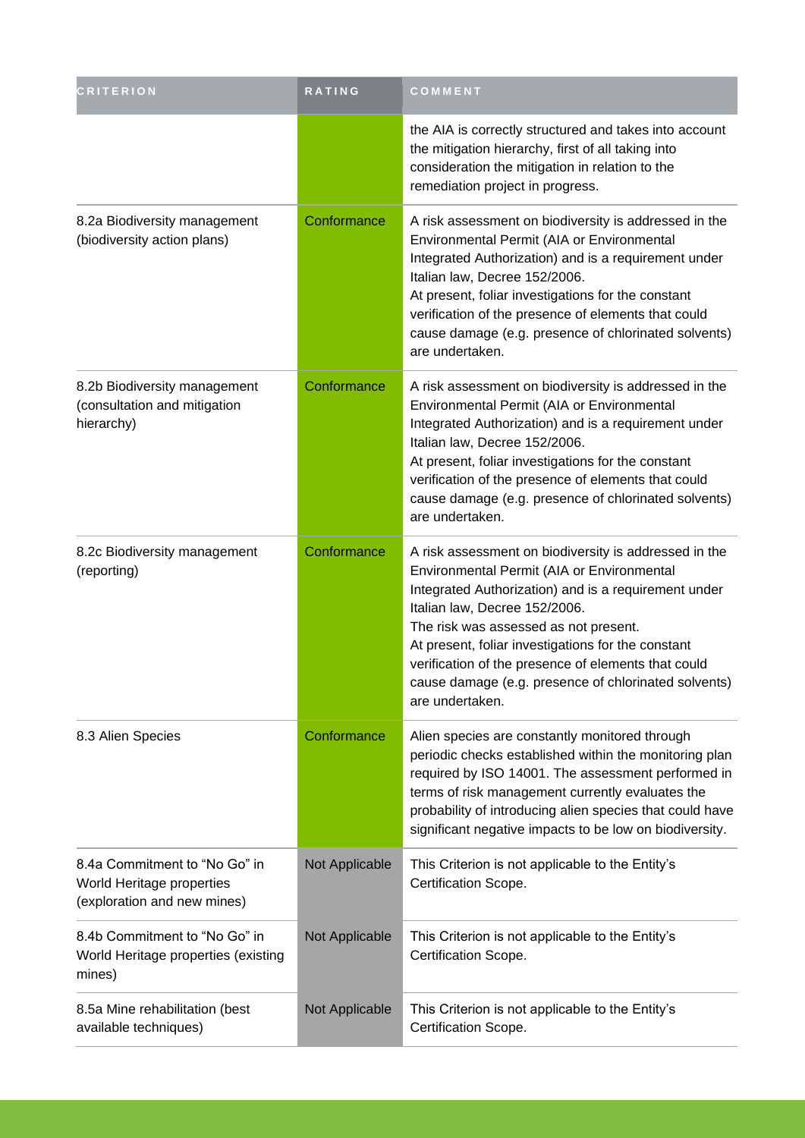| <b>CRITERION</b>                                                                          | RATING         | COMMENT                                                                                                                                                                                                                                                                                                                                                                                                                       |
|-------------------------------------------------------------------------------------------|----------------|-------------------------------------------------------------------------------------------------------------------------------------------------------------------------------------------------------------------------------------------------------------------------------------------------------------------------------------------------------------------------------------------------------------------------------|
|                                                                                           |                | the AIA is correctly structured and takes into account<br>the mitigation hierarchy, first of all taking into<br>consideration the mitigation in relation to the<br>remediation project in progress.                                                                                                                                                                                                                           |
| 8.2a Biodiversity management<br>(biodiversity action plans)                               | Conformance    | A risk assessment on biodiversity is addressed in the<br>Environmental Permit (AIA or Environmental<br>Integrated Authorization) and is a requirement under<br>Italian law, Decree 152/2006.<br>At present, foliar investigations for the constant<br>verification of the presence of elements that could<br>cause damage (e.g. presence of chlorinated solvents)<br>are undertaken.                                          |
| 8.2b Biodiversity management<br>(consultation and mitigation<br>hierarchy)                | Conformance    | A risk assessment on biodiversity is addressed in the<br>Environmental Permit (AIA or Environmental<br>Integrated Authorization) and is a requirement under<br>Italian law, Decree 152/2006.<br>At present, foliar investigations for the constant<br>verification of the presence of elements that could<br>cause damage (e.g. presence of chlorinated solvents)<br>are undertaken.                                          |
| 8.2c Biodiversity management<br>(reporting)                                               | Conformance    | A risk assessment on biodiversity is addressed in the<br>Environmental Permit (AIA or Environmental<br>Integrated Authorization) and is a requirement under<br>Italian law, Decree 152/2006.<br>The risk was assessed as not present.<br>At present, foliar investigations for the constant<br>verification of the presence of elements that could<br>cause damage (e.g. presence of chlorinated solvents)<br>are undertaken. |
| 8.3 Alien Species                                                                         | Conformance    | Alien species are constantly monitored through<br>periodic checks established within the monitoring plan<br>required by ISO 14001. The assessment performed in<br>terms of risk management currently evaluates the<br>probability of introducing alien species that could have<br>significant negative impacts to be low on biodiversity.                                                                                     |
| 8.4a Commitment to "No Go" in<br>World Heritage properties<br>(exploration and new mines) | Not Applicable | This Criterion is not applicable to the Entity's<br>Certification Scope.                                                                                                                                                                                                                                                                                                                                                      |
| 8.4b Commitment to "No Go" in<br>World Heritage properties (existing<br>mines)            | Not Applicable | This Criterion is not applicable to the Entity's<br>Certification Scope.                                                                                                                                                                                                                                                                                                                                                      |
| 8.5a Mine rehabilitation (best<br>available techniques)                                   | Not Applicable | This Criterion is not applicable to the Entity's<br>Certification Scope.                                                                                                                                                                                                                                                                                                                                                      |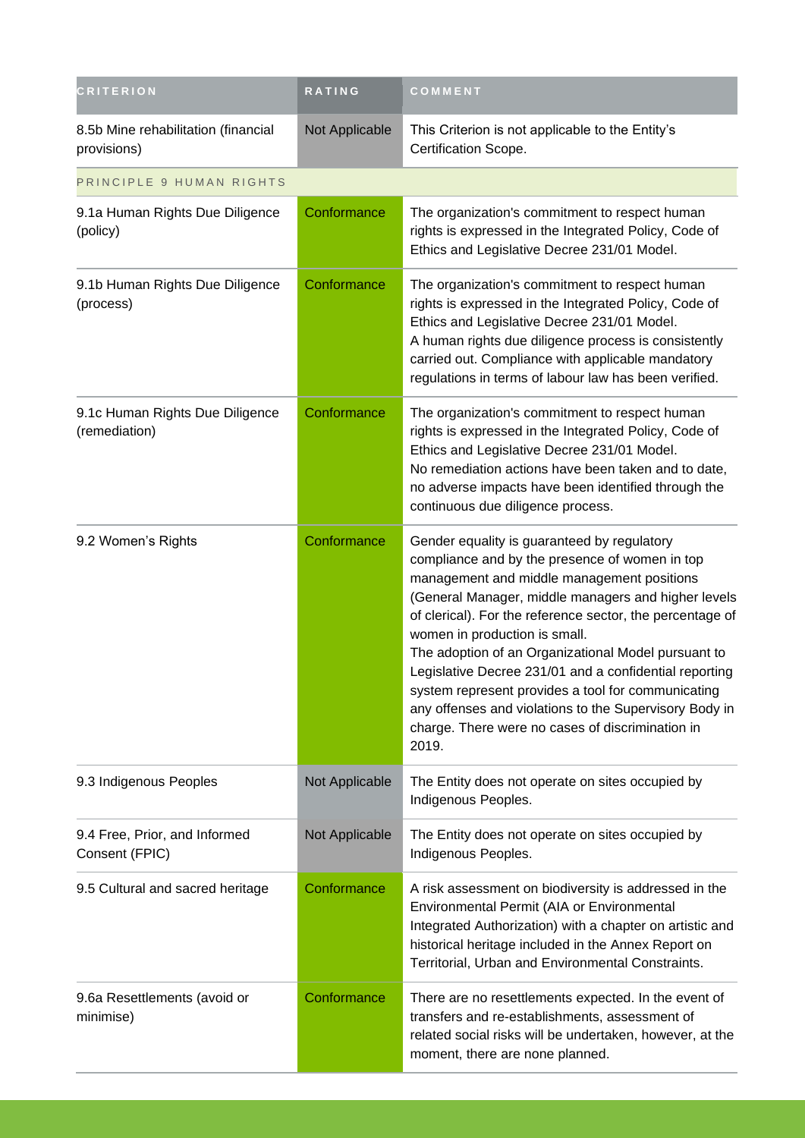| <b>CRITERION</b>                                   | RATING         | COMMENT                                                                                                                                                                                                                                                                                                                                                                                                                                                                                                                                                                                        |
|----------------------------------------------------|----------------|------------------------------------------------------------------------------------------------------------------------------------------------------------------------------------------------------------------------------------------------------------------------------------------------------------------------------------------------------------------------------------------------------------------------------------------------------------------------------------------------------------------------------------------------------------------------------------------------|
| 8.5b Mine rehabilitation (financial<br>provisions) | Not Applicable | This Criterion is not applicable to the Entity's<br>Certification Scope.                                                                                                                                                                                                                                                                                                                                                                                                                                                                                                                       |
| PRINCIPLE 9 HUMAN RIGHTS                           |                |                                                                                                                                                                                                                                                                                                                                                                                                                                                                                                                                                                                                |
| 9.1a Human Rights Due Diligence<br>(policy)        | Conformance    | The organization's commitment to respect human<br>rights is expressed in the Integrated Policy, Code of<br>Ethics and Legislative Decree 231/01 Model.                                                                                                                                                                                                                                                                                                                                                                                                                                         |
| 9.1b Human Rights Due Diligence<br>(process)       | Conformance    | The organization's commitment to respect human<br>rights is expressed in the Integrated Policy, Code of<br>Ethics and Legislative Decree 231/01 Model.<br>A human rights due diligence process is consistently<br>carried out. Compliance with applicable mandatory<br>regulations in terms of labour law has been verified.                                                                                                                                                                                                                                                                   |
| 9.1c Human Rights Due Diligence<br>(remediation)   | Conformance    | The organization's commitment to respect human<br>rights is expressed in the Integrated Policy, Code of<br>Ethics and Legislative Decree 231/01 Model.<br>No remediation actions have been taken and to date,<br>no adverse impacts have been identified through the<br>continuous due diligence process.                                                                                                                                                                                                                                                                                      |
| 9.2 Women's Rights                                 | Conformance    | Gender equality is guaranteed by regulatory<br>compliance and by the presence of women in top<br>management and middle management positions<br>(General Manager, middle managers and higher levels<br>of clerical). For the reference sector, the percentage of<br>women in production is small.<br>The adoption of an Organizational Model pursuant to<br>Legislative Decree 231/01 and a confidential reporting<br>system represent provides a tool for communicating<br>any offenses and violations to the Supervisory Body in<br>charge. There were no cases of discrimination in<br>2019. |
| 9.3 Indigenous Peoples                             | Not Applicable | The Entity does not operate on sites occupied by<br>Indigenous Peoples.                                                                                                                                                                                                                                                                                                                                                                                                                                                                                                                        |
| 9.4 Free, Prior, and Informed<br>Consent (FPIC)    | Not Applicable | The Entity does not operate on sites occupied by<br>Indigenous Peoples.                                                                                                                                                                                                                                                                                                                                                                                                                                                                                                                        |
| 9.5 Cultural and sacred heritage                   | Conformance    | A risk assessment on biodiversity is addressed in the<br>Environmental Permit (AIA or Environmental<br>Integrated Authorization) with a chapter on artistic and<br>historical heritage included in the Annex Report on<br>Territorial, Urban and Environmental Constraints.                                                                                                                                                                                                                                                                                                                    |
| 9.6a Resettlements (avoid or<br>minimise)          | Conformance    | There are no resettlements expected. In the event of<br>transfers and re-establishments, assessment of<br>related social risks will be undertaken, however, at the<br>moment, there are none planned.                                                                                                                                                                                                                                                                                                                                                                                          |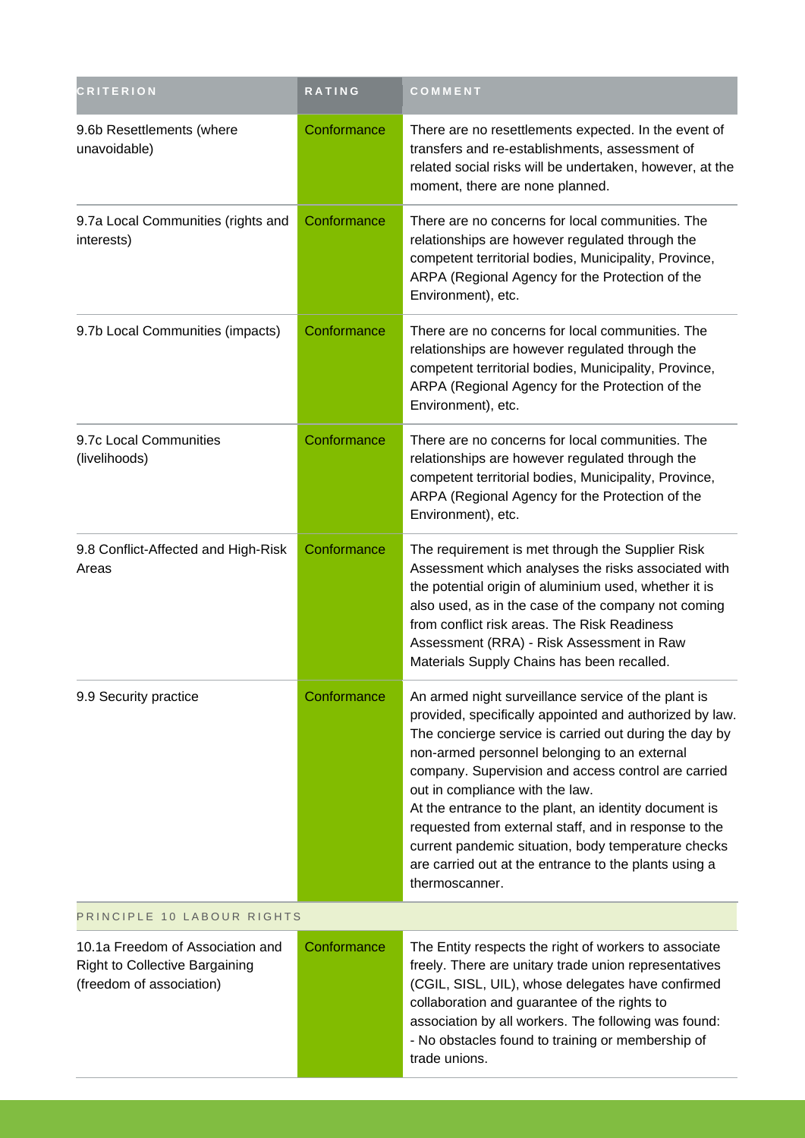| <b>CRITERION</b>                                                                                      | <b>RATING</b> | COMMENT                                                                                                                                                                                                                                                                                                                                                                                                                                                                                                                                                                |
|-------------------------------------------------------------------------------------------------------|---------------|------------------------------------------------------------------------------------------------------------------------------------------------------------------------------------------------------------------------------------------------------------------------------------------------------------------------------------------------------------------------------------------------------------------------------------------------------------------------------------------------------------------------------------------------------------------------|
| 9.6b Resettlements (where<br>unavoidable)                                                             | Conformance   | There are no resettlements expected. In the event of<br>transfers and re-establishments, assessment of<br>related social risks will be undertaken, however, at the<br>moment, there are none planned.                                                                                                                                                                                                                                                                                                                                                                  |
| 9.7a Local Communities (rights and<br>interests)                                                      | Conformance   | There are no concerns for local communities. The<br>relationships are however regulated through the<br>competent territorial bodies, Municipality, Province,<br>ARPA (Regional Agency for the Protection of the<br>Environment), etc.                                                                                                                                                                                                                                                                                                                                  |
| 9.7b Local Communities (impacts)                                                                      | Conformance   | There are no concerns for local communities. The<br>relationships are however regulated through the<br>competent territorial bodies, Municipality, Province,<br>ARPA (Regional Agency for the Protection of the<br>Environment), etc.                                                                                                                                                                                                                                                                                                                                  |
| 9.7c Local Communities<br>(livelihoods)                                                               | Conformance   | There are no concerns for local communities. The<br>relationships are however regulated through the<br>competent territorial bodies, Municipality, Province,<br>ARPA (Regional Agency for the Protection of the<br>Environment), etc.                                                                                                                                                                                                                                                                                                                                  |
| 9.8 Conflict-Affected and High-Risk<br>Areas                                                          | Conformance   | The requirement is met through the Supplier Risk<br>Assessment which analyses the risks associated with<br>the potential origin of aluminium used, whether it is<br>also used, as in the case of the company not coming<br>from conflict risk areas. The Risk Readiness<br>Assessment (RRA) - Risk Assessment in Raw<br>Materials Supply Chains has been recalled.                                                                                                                                                                                                     |
| 9.9 Security practice                                                                                 | Conformance   | An armed night surveillance service of the plant is<br>provided, specifically appointed and authorized by law.<br>The concierge service is carried out during the day by<br>non-armed personnel belonging to an external<br>company. Supervision and access control are carried<br>out in compliance with the law.<br>At the entrance to the plant, an identity document is<br>requested from external staff, and in response to the<br>current pandemic situation, body temperature checks<br>are carried out at the entrance to the plants using a<br>thermoscanner. |
| PRINCIPLE 10 LABOUR RIGHTS                                                                            |               |                                                                                                                                                                                                                                                                                                                                                                                                                                                                                                                                                                        |
| 10.1a Freedom of Association and<br><b>Right to Collective Bargaining</b><br>(freedom of association) | Conformance   | The Entity respects the right of workers to associate<br>freely. There are unitary trade union representatives<br>(CGIL, SISL, UIL), whose delegates have confirmed<br>collaboration and guarantee of the rights to<br>association by all workers. The following was found:<br>- No obstacles found to training or membership of<br>trade unions.                                                                                                                                                                                                                      |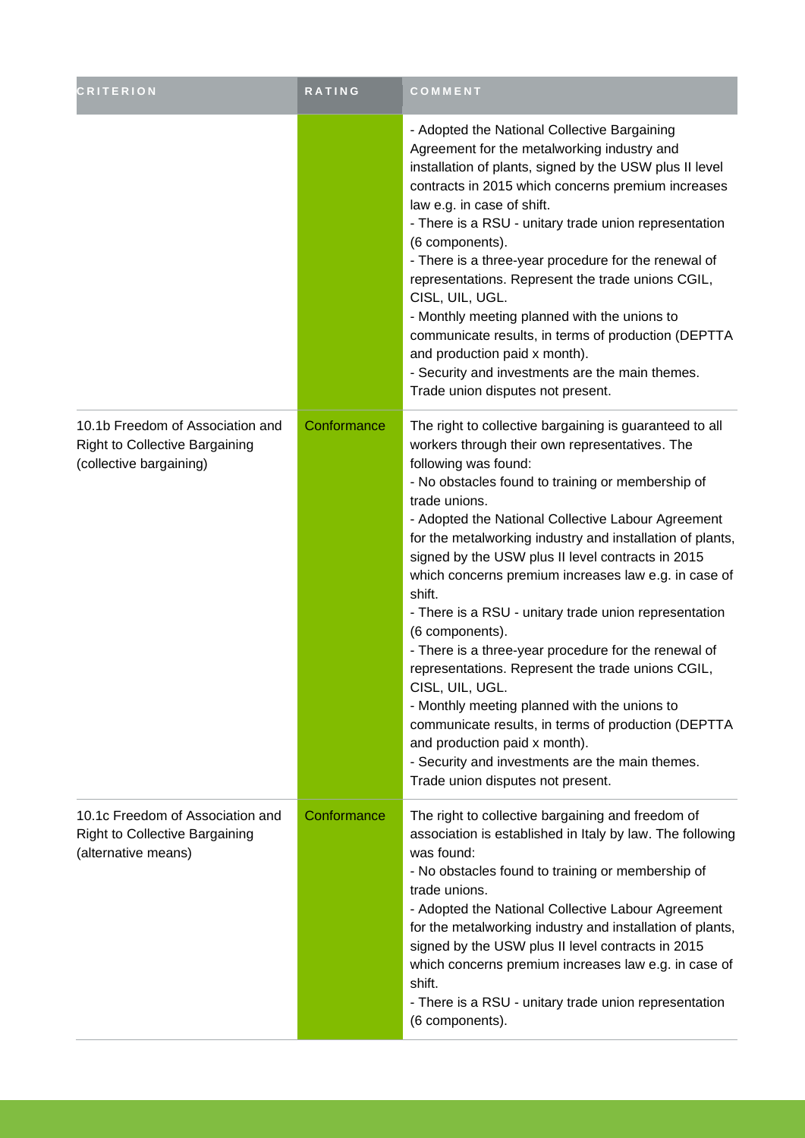| <b>CRITERION</b>                                                                                     | RATING      | COMMENT                                                                                                                                                                                                                                                                                                                                                                                                                                                                                                                                                                                                                                                                                                                                                                                                                                                                                       |
|------------------------------------------------------------------------------------------------------|-------------|-----------------------------------------------------------------------------------------------------------------------------------------------------------------------------------------------------------------------------------------------------------------------------------------------------------------------------------------------------------------------------------------------------------------------------------------------------------------------------------------------------------------------------------------------------------------------------------------------------------------------------------------------------------------------------------------------------------------------------------------------------------------------------------------------------------------------------------------------------------------------------------------------|
|                                                                                                      |             | - Adopted the National Collective Bargaining<br>Agreement for the metalworking industry and<br>installation of plants, signed by the USW plus II level<br>contracts in 2015 which concerns premium increases<br>law e.g. in case of shift.<br>- There is a RSU - unitary trade union representation<br>(6 components).<br>- There is a three-year procedure for the renewal of<br>representations. Represent the trade unions CGIL,<br>CISL, UIL, UGL.<br>- Monthly meeting planned with the unions to<br>communicate results, in terms of production (DEPTTA<br>and production paid x month).<br>- Security and investments are the main themes.<br>Trade union disputes not present.                                                                                                                                                                                                        |
| 10.1b Freedom of Association and<br><b>Right to Collective Bargaining</b><br>(collective bargaining) | Conformance | The right to collective bargaining is guaranteed to all<br>workers through their own representatives. The<br>following was found:<br>- No obstacles found to training or membership of<br>trade unions.<br>- Adopted the National Collective Labour Agreement<br>for the metalworking industry and installation of plants,<br>signed by the USW plus II level contracts in 2015<br>which concerns premium increases law e.g. in case of<br>shift.<br>- There is a RSU - unitary trade union representation<br>(6 components).<br>- There is a three-year procedure for the renewal of<br>representations. Represent the trade unions CGIL,<br>CISL, UIL, UGL.<br>- Monthly meeting planned with the unions to<br>communicate results, in terms of production (DEPTTA<br>and production paid x month).<br>- Security and investments are the main themes.<br>Trade union disputes not present. |
| 10.1c Freedom of Association and<br><b>Right to Collective Bargaining</b><br>(alternative means)     | Conformance | The right to collective bargaining and freedom of<br>association is established in Italy by law. The following<br>was found:<br>- No obstacles found to training or membership of<br>trade unions.<br>- Adopted the National Collective Labour Agreement<br>for the metalworking industry and installation of plants,<br>signed by the USW plus II level contracts in 2015<br>which concerns premium increases law e.g. in case of<br>shift.<br>- There is a RSU - unitary trade union representation<br>(6 components).                                                                                                                                                                                                                                                                                                                                                                      |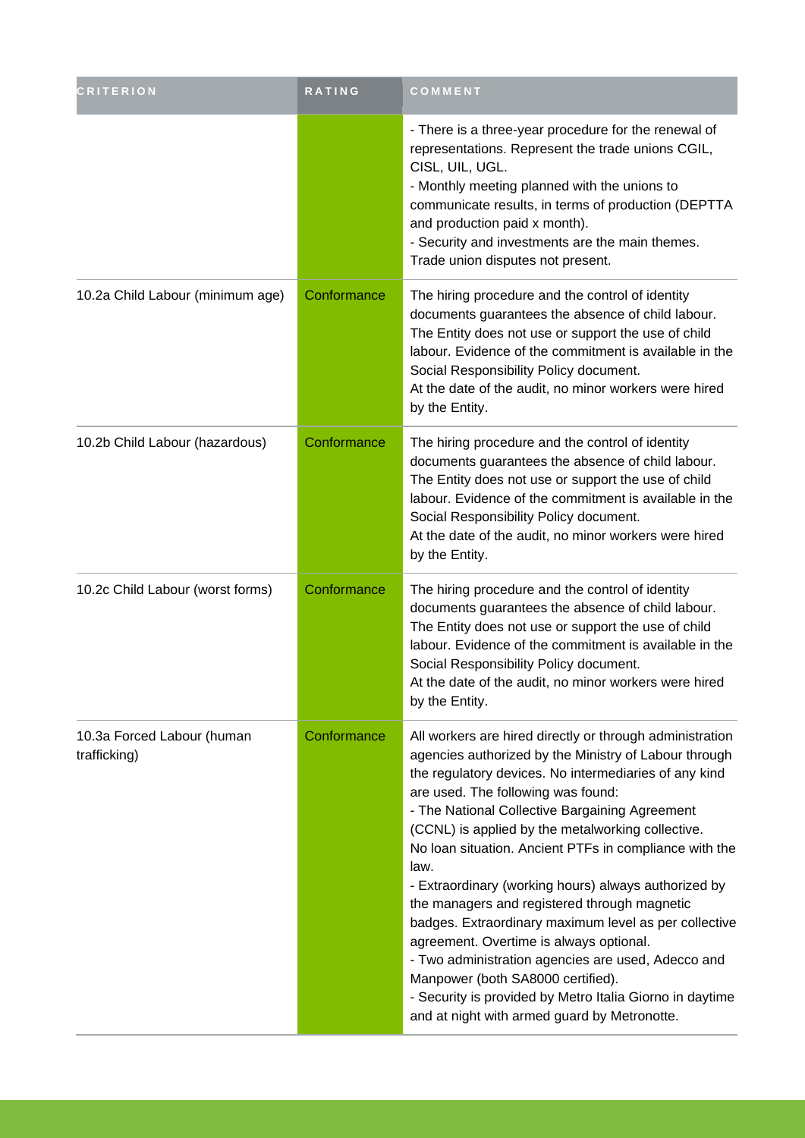| <b>CRITERION</b>                           | <b>RATING</b> | COMMENT                                                                                                                                                                                                                                                                                                                                                                                                                                                                                                                                                                                                                                                                                                                                                                                                      |
|--------------------------------------------|---------------|--------------------------------------------------------------------------------------------------------------------------------------------------------------------------------------------------------------------------------------------------------------------------------------------------------------------------------------------------------------------------------------------------------------------------------------------------------------------------------------------------------------------------------------------------------------------------------------------------------------------------------------------------------------------------------------------------------------------------------------------------------------------------------------------------------------|
|                                            |               | - There is a three-year procedure for the renewal of<br>representations. Represent the trade unions CGIL,<br>CISL, UIL, UGL.<br>- Monthly meeting planned with the unions to<br>communicate results, in terms of production (DEPTTA<br>and production paid x month).<br>- Security and investments are the main themes.<br>Trade union disputes not present.                                                                                                                                                                                                                                                                                                                                                                                                                                                 |
| 10.2a Child Labour (minimum age)           | Conformance   | The hiring procedure and the control of identity<br>documents guarantees the absence of child labour.<br>The Entity does not use or support the use of child<br>labour. Evidence of the commitment is available in the<br>Social Responsibility Policy document.<br>At the date of the audit, no minor workers were hired<br>by the Entity.                                                                                                                                                                                                                                                                                                                                                                                                                                                                  |
| 10.2b Child Labour (hazardous)             | Conformance   | The hiring procedure and the control of identity<br>documents guarantees the absence of child labour.<br>The Entity does not use or support the use of child<br>labour. Evidence of the commitment is available in the<br>Social Responsibility Policy document.<br>At the date of the audit, no minor workers were hired<br>by the Entity.                                                                                                                                                                                                                                                                                                                                                                                                                                                                  |
| 10.2c Child Labour (worst forms)           | Conformance   | The hiring procedure and the control of identity<br>documents guarantees the absence of child labour.<br>The Entity does not use or support the use of child<br>labour. Evidence of the commitment is available in the<br>Social Responsibility Policy document.<br>At the date of the audit, no minor workers were hired<br>by the Entity.                                                                                                                                                                                                                                                                                                                                                                                                                                                                  |
| 10.3a Forced Labour (human<br>trafficking) | Conformance   | All workers are hired directly or through administration<br>agencies authorized by the Ministry of Labour through<br>the regulatory devices. No intermediaries of any kind<br>are used. The following was found:<br>- The National Collective Bargaining Agreement<br>(CCNL) is applied by the metalworking collective.<br>No Ioan situation. Ancient PTFs in compliance with the<br>law.<br>- Extraordinary (working hours) always authorized by<br>the managers and registered through magnetic<br>badges. Extraordinary maximum level as per collective<br>agreement. Overtime is always optional.<br>- Two administration agencies are used, Adecco and<br>Manpower (both SA8000 certified).<br>- Security is provided by Metro Italia Giorno in daytime<br>and at night with armed guard by Metronotte. |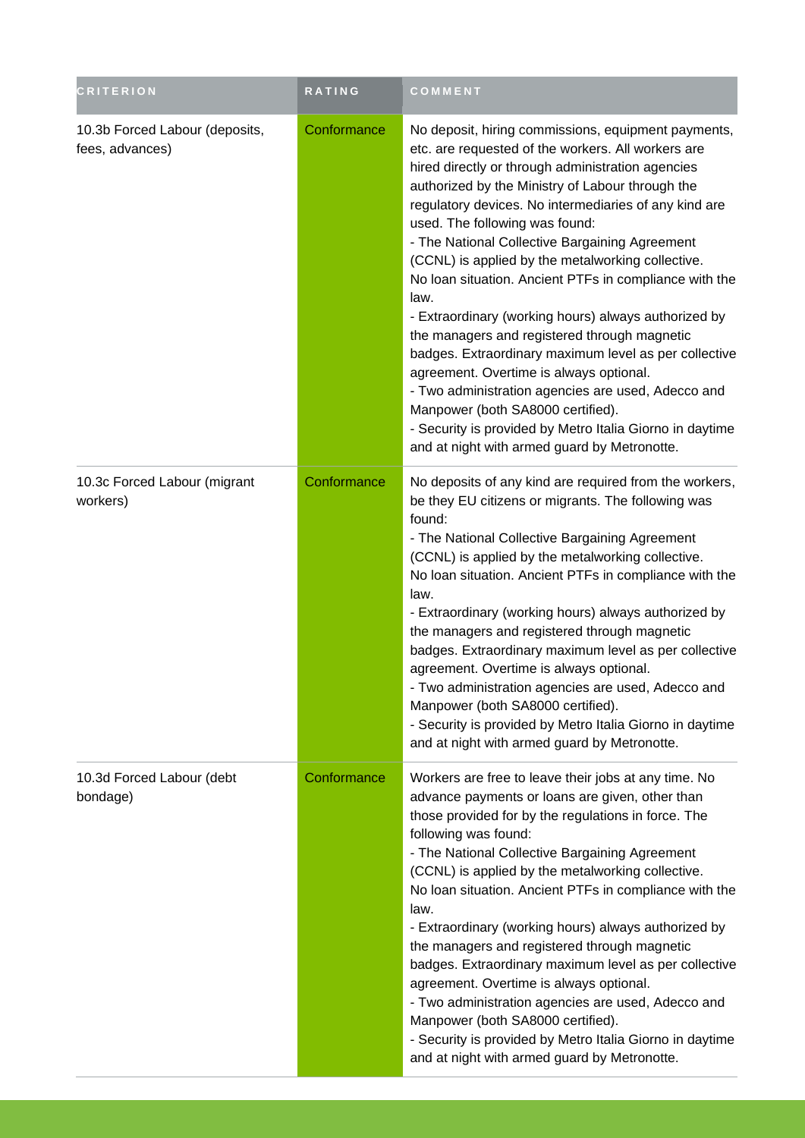| <b>CRITERION</b>                                  | RATING      | COMMENT                                                                                                                                                                                                                                                                                                                                                                                                                                                                                                                                                                                                                                                                                                                                                                                                                                                                                                   |
|---------------------------------------------------|-------------|-----------------------------------------------------------------------------------------------------------------------------------------------------------------------------------------------------------------------------------------------------------------------------------------------------------------------------------------------------------------------------------------------------------------------------------------------------------------------------------------------------------------------------------------------------------------------------------------------------------------------------------------------------------------------------------------------------------------------------------------------------------------------------------------------------------------------------------------------------------------------------------------------------------|
| 10.3b Forced Labour (deposits,<br>fees, advances) | Conformance | No deposit, hiring commissions, equipment payments,<br>etc. are requested of the workers. All workers are<br>hired directly or through administration agencies<br>authorized by the Ministry of Labour through the<br>regulatory devices. No intermediaries of any kind are<br>used. The following was found:<br>- The National Collective Bargaining Agreement<br>(CCNL) is applied by the metalworking collective.<br>No Ioan situation. Ancient PTFs in compliance with the<br>law.<br>- Extraordinary (working hours) always authorized by<br>the managers and registered through magnetic<br>badges. Extraordinary maximum level as per collective<br>agreement. Overtime is always optional.<br>- Two administration agencies are used, Adecco and<br>Manpower (both SA8000 certified).<br>- Security is provided by Metro Italia Giorno in daytime<br>and at night with armed guard by Metronotte. |
| 10.3c Forced Labour (migrant<br>workers)          | Conformance | No deposits of any kind are required from the workers,<br>be they EU citizens or migrants. The following was<br>found:<br>- The National Collective Bargaining Agreement<br>(CCNL) is applied by the metalworking collective.<br>No Ioan situation. Ancient PTFs in compliance with the<br>law.<br>- Extraordinary (working hours) always authorized by<br>the managers and registered through magnetic<br>badges. Extraordinary maximum level as per collective<br>agreement. Overtime is always optional.<br>- Two administration agencies are used, Adecco and<br>Manpower (both SA8000 certified).<br>- Security is provided by Metro Italia Giorno in daytime<br>and at night with armed guard by Metronotte.                                                                                                                                                                                        |
| 10.3d Forced Labour (debt<br>bondage)             | Conformance | Workers are free to leave their jobs at any time. No<br>advance payments or loans are given, other than<br>those provided for by the regulations in force. The<br>following was found:<br>- The National Collective Bargaining Agreement<br>(CCNL) is applied by the metalworking collective.<br>No Ioan situation. Ancient PTFs in compliance with the<br>law.<br>- Extraordinary (working hours) always authorized by<br>the managers and registered through magnetic<br>badges. Extraordinary maximum level as per collective<br>agreement. Overtime is always optional.<br>- Two administration agencies are used, Adecco and<br>Manpower (both SA8000 certified).<br>- Security is provided by Metro Italia Giorno in daytime<br>and at night with armed guard by Metronotte.                                                                                                                        |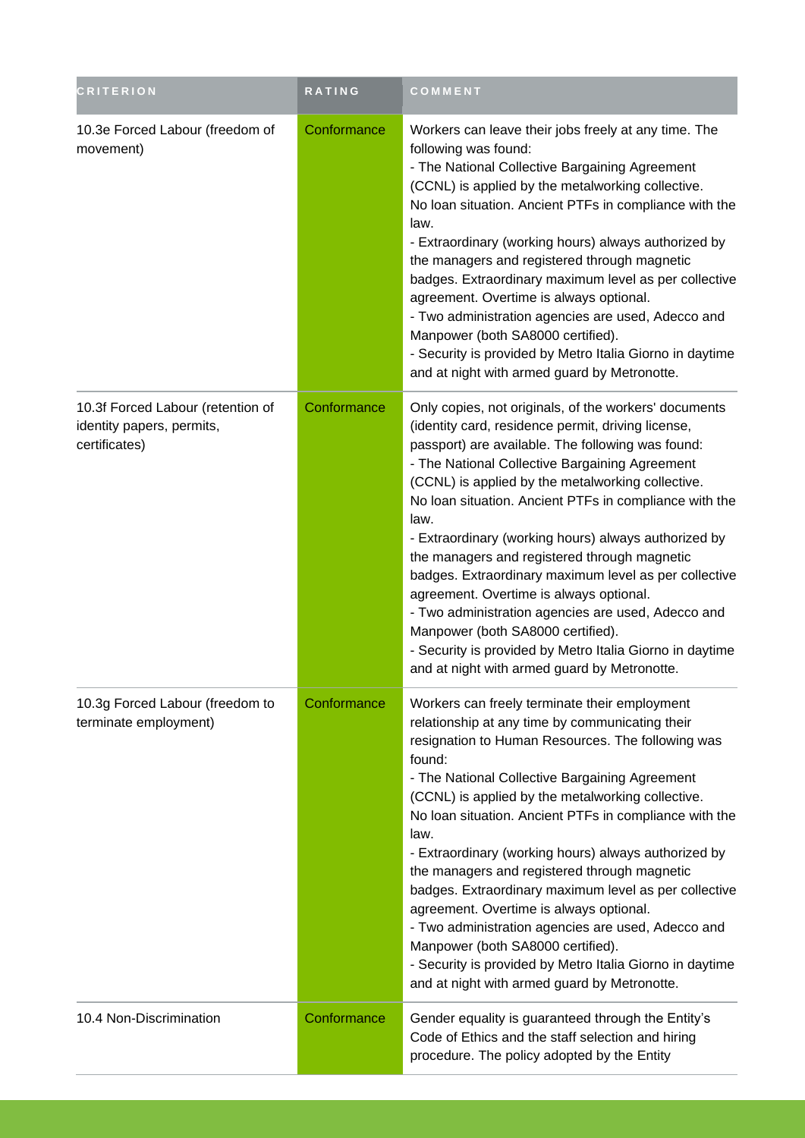| <b>CRITERION</b>                                                                | RATING      | COMMENT                                                                                                                                                                                                                                                                                                                                                                                                                                                                                                                                                                                                                                                                                                                                                      |
|---------------------------------------------------------------------------------|-------------|--------------------------------------------------------------------------------------------------------------------------------------------------------------------------------------------------------------------------------------------------------------------------------------------------------------------------------------------------------------------------------------------------------------------------------------------------------------------------------------------------------------------------------------------------------------------------------------------------------------------------------------------------------------------------------------------------------------------------------------------------------------|
| 10.3e Forced Labour (freedom of<br>movement)                                    | Conformance | Workers can leave their jobs freely at any time. The<br>following was found:<br>- The National Collective Bargaining Agreement<br>(CCNL) is applied by the metalworking collective.<br>No loan situation. Ancient PTFs in compliance with the<br>law.<br>- Extraordinary (working hours) always authorized by<br>the managers and registered through magnetic<br>badges. Extraordinary maximum level as per collective<br>agreement. Overtime is always optional.<br>- Two administration agencies are used, Adecco and<br>Manpower (both SA8000 certified).<br>- Security is provided by Metro Italia Giorno in daytime<br>and at night with armed guard by Metronotte.                                                                                     |
| 10.3f Forced Labour (retention of<br>identity papers, permits,<br>certificates) | Conformance | Only copies, not originals, of the workers' documents<br>(identity card, residence permit, driving license,<br>passport) are available. The following was found:<br>- The National Collective Bargaining Agreement<br>(CCNL) is applied by the metalworking collective.<br>No loan situation. Ancient PTFs in compliance with the<br>law.<br>- Extraordinary (working hours) always authorized by<br>the managers and registered through magnetic<br>badges. Extraordinary maximum level as per collective<br>agreement. Overtime is always optional.<br>- Two administration agencies are used, Adecco and<br>Manpower (both SA8000 certified).<br>- Security is provided by Metro Italia Giorno in daytime<br>and at night with armed guard by Metronotte. |
| 10.3g Forced Labour (freedom to<br>terminate employment)                        | Conformance | Workers can freely terminate their employment<br>relationship at any time by communicating their<br>resignation to Human Resources. The following was<br>found:<br>- The National Collective Bargaining Agreement<br>(CCNL) is applied by the metalworking collective.<br>No loan situation. Ancient PTFs in compliance with the<br>law.<br>- Extraordinary (working hours) always authorized by<br>the managers and registered through magnetic<br>badges. Extraordinary maximum level as per collective<br>agreement. Overtime is always optional.<br>- Two administration agencies are used, Adecco and<br>Manpower (both SA8000 certified).<br>- Security is provided by Metro Italia Giorno in daytime<br>and at night with armed guard by Metronotte.  |
| 10.4 Non-Discrimination                                                         | Conformance | Gender equality is guaranteed through the Entity's<br>Code of Ethics and the staff selection and hiring<br>procedure. The policy adopted by the Entity                                                                                                                                                                                                                                                                                                                                                                                                                                                                                                                                                                                                       |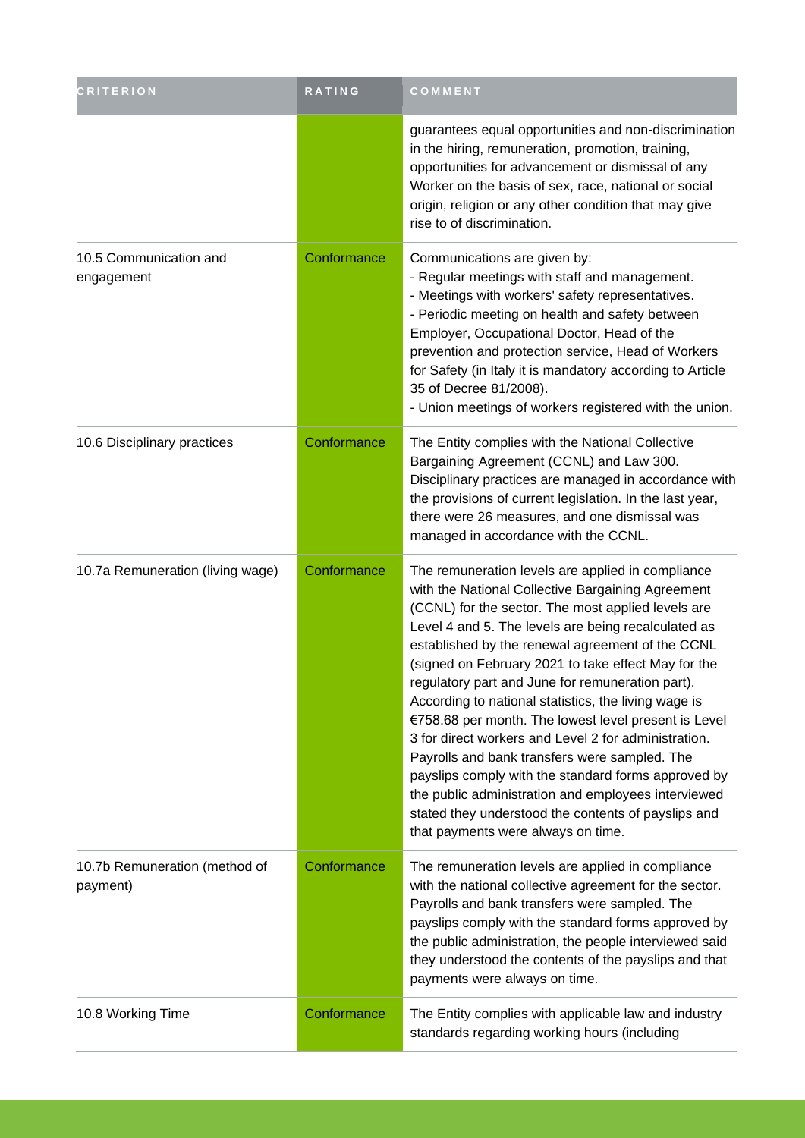| <b>CRITERION</b>                          | <b>RATING</b> | COMMENT                                                                                                                                                                                                                                                                                                                                                                                                                                                                                                                                                                                                                                                                                                                                                                                                                |
|-------------------------------------------|---------------|------------------------------------------------------------------------------------------------------------------------------------------------------------------------------------------------------------------------------------------------------------------------------------------------------------------------------------------------------------------------------------------------------------------------------------------------------------------------------------------------------------------------------------------------------------------------------------------------------------------------------------------------------------------------------------------------------------------------------------------------------------------------------------------------------------------------|
|                                           |               | guarantees equal opportunities and non-discrimination<br>in the hiring, remuneration, promotion, training,<br>opportunities for advancement or dismissal of any<br>Worker on the basis of sex, race, national or social<br>origin, religion or any other condition that may give<br>rise to of discrimination.                                                                                                                                                                                                                                                                                                                                                                                                                                                                                                         |
| 10.5 Communication and<br>engagement      | Conformance   | Communications are given by:<br>- Regular meetings with staff and management.<br>- Meetings with workers' safety representatives.<br>- Periodic meeting on health and safety between<br>Employer, Occupational Doctor, Head of the<br>prevention and protection service, Head of Workers<br>for Safety (in Italy it is mandatory according to Article<br>35 of Decree 81/2008).<br>- Union meetings of workers registered with the union.                                                                                                                                                                                                                                                                                                                                                                              |
| 10.6 Disciplinary practices               | Conformance   | The Entity complies with the National Collective<br>Bargaining Agreement (CCNL) and Law 300.<br>Disciplinary practices are managed in accordance with<br>the provisions of current legislation. In the last year,<br>there were 26 measures, and one dismissal was<br>managed in accordance with the CCNL.                                                                                                                                                                                                                                                                                                                                                                                                                                                                                                             |
| 10.7a Remuneration (living wage)          | Conformance   | The remuneration levels are applied in compliance<br>with the National Collective Bargaining Agreement<br>(CCNL) for the sector. The most applied levels are<br>Level 4 and 5. The levels are being recalculated as<br>established by the renewal agreement of the CCNL<br>(signed on February 2021 to take effect May for the<br>regulatory part and June for remuneration part).<br>According to national statistics, the living wage is<br>€758.68 per month. The lowest level present is Level<br>3 for direct workers and Level 2 for administration.<br>Payrolls and bank transfers were sampled. The<br>payslips comply with the standard forms approved by<br>the public administration and employees interviewed<br>stated they understood the contents of payslips and<br>that payments were always on time. |
| 10.7b Remuneration (method of<br>payment) | Conformance   | The remuneration levels are applied in compliance<br>with the national collective agreement for the sector.<br>Payrolls and bank transfers were sampled. The<br>payslips comply with the standard forms approved by<br>the public administration, the people interviewed said<br>they understood the contents of the payslips and that<br>payments were always on time.                                                                                                                                                                                                                                                                                                                                                                                                                                                |
| 10.8 Working Time                         | Conformance   | The Entity complies with applicable law and industry<br>standards regarding working hours (including                                                                                                                                                                                                                                                                                                                                                                                                                                                                                                                                                                                                                                                                                                                   |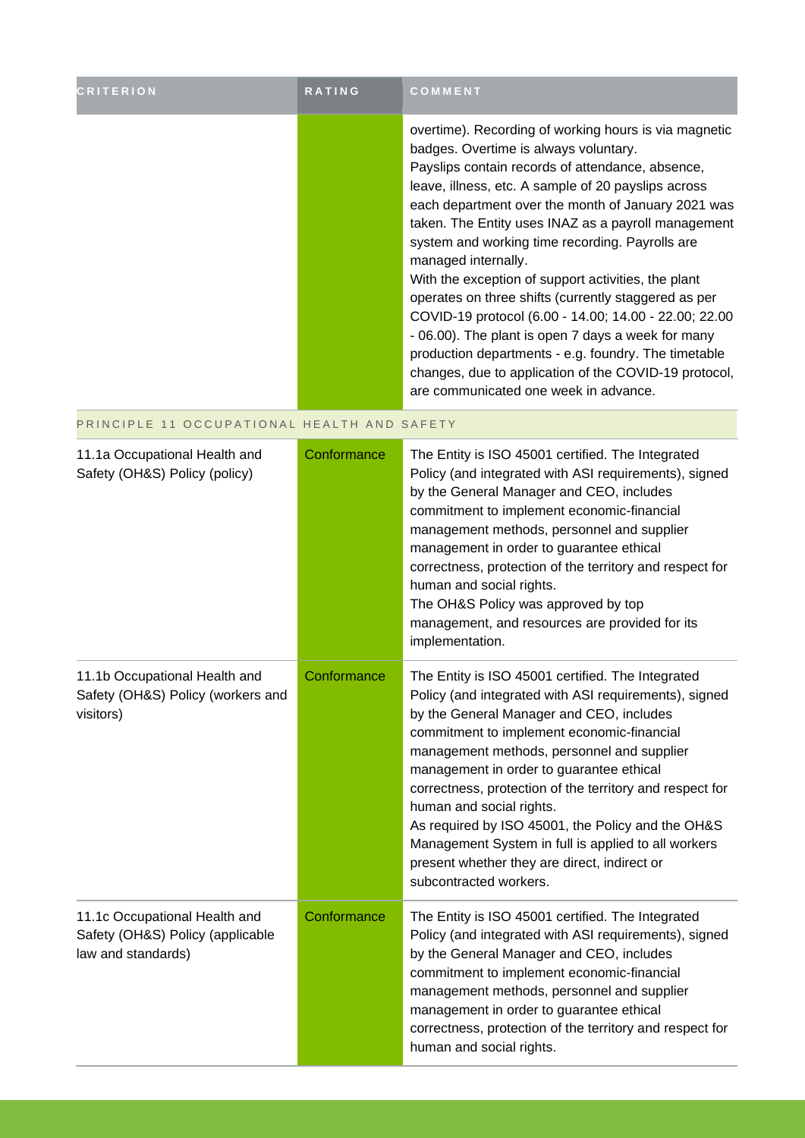| <b>CRITERION</b>                                                                        | RATING      | COMMENT                                                                                                                                                                                                                                                                                                                                                                                                                                                                                                                                                                                                                                                                                                                                                                                  |
|-----------------------------------------------------------------------------------------|-------------|------------------------------------------------------------------------------------------------------------------------------------------------------------------------------------------------------------------------------------------------------------------------------------------------------------------------------------------------------------------------------------------------------------------------------------------------------------------------------------------------------------------------------------------------------------------------------------------------------------------------------------------------------------------------------------------------------------------------------------------------------------------------------------------|
|                                                                                         |             | overtime). Recording of working hours is via magnetic<br>badges. Overtime is always voluntary.<br>Payslips contain records of attendance, absence,<br>leave, illness, etc. A sample of 20 payslips across<br>each department over the month of January 2021 was<br>taken. The Entity uses INAZ as a payroll management<br>system and working time recording. Payrolls are<br>managed internally.<br>With the exception of support activities, the plant<br>operates on three shifts (currently staggered as per<br>COVID-19 protocol (6.00 - 14.00; 14.00 - 22.00; 22.00<br>- 06.00). The plant is open 7 days a week for many<br>production departments - e.g. foundry. The timetable<br>changes, due to application of the COVID-19 protocol,<br>are communicated one week in advance. |
| PRINCIPLE 11 OCCUPATIONAL HEALTH AND SAFETY                                             |             |                                                                                                                                                                                                                                                                                                                                                                                                                                                                                                                                                                                                                                                                                                                                                                                          |
| 11.1a Occupational Health and<br>Safety (OH&S) Policy (policy)                          | Conformance | The Entity is ISO 45001 certified. The Integrated<br>Policy (and integrated with ASI requirements), signed<br>by the General Manager and CEO, includes<br>commitment to implement economic-financial<br>management methods, personnel and supplier<br>management in order to guarantee ethical<br>correctness, protection of the territory and respect for<br>human and social rights.<br>The OH&S Policy was approved by top<br>management, and resources are provided for its<br>implementation.                                                                                                                                                                                                                                                                                       |
| 11.1b Occupational Health and<br>Safety (OH&S) Policy (workers and<br>visitors)         | Conformance | The Entity is ISO 45001 certified. The Integrated<br>Policy (and integrated with ASI requirements), signed<br>by the General Manager and CEO, includes<br>commitment to implement economic-financial<br>management methods, personnel and supplier<br>management in order to guarantee ethical<br>correctness, protection of the territory and respect for<br>human and social rights.<br>As required by ISO 45001, the Policy and the OH&S<br>Management System in full is applied to all workers<br>present whether they are direct, indirect or<br>subcontracted workers.                                                                                                                                                                                                             |
| 11.1c Occupational Health and<br>Safety (OH&S) Policy (applicable<br>law and standards) | Conformance | The Entity is ISO 45001 certified. The Integrated<br>Policy (and integrated with ASI requirements), signed<br>by the General Manager and CEO, includes<br>commitment to implement economic-financial<br>management methods, personnel and supplier<br>management in order to guarantee ethical<br>correctness, protection of the territory and respect for<br>human and social rights.                                                                                                                                                                                                                                                                                                                                                                                                   |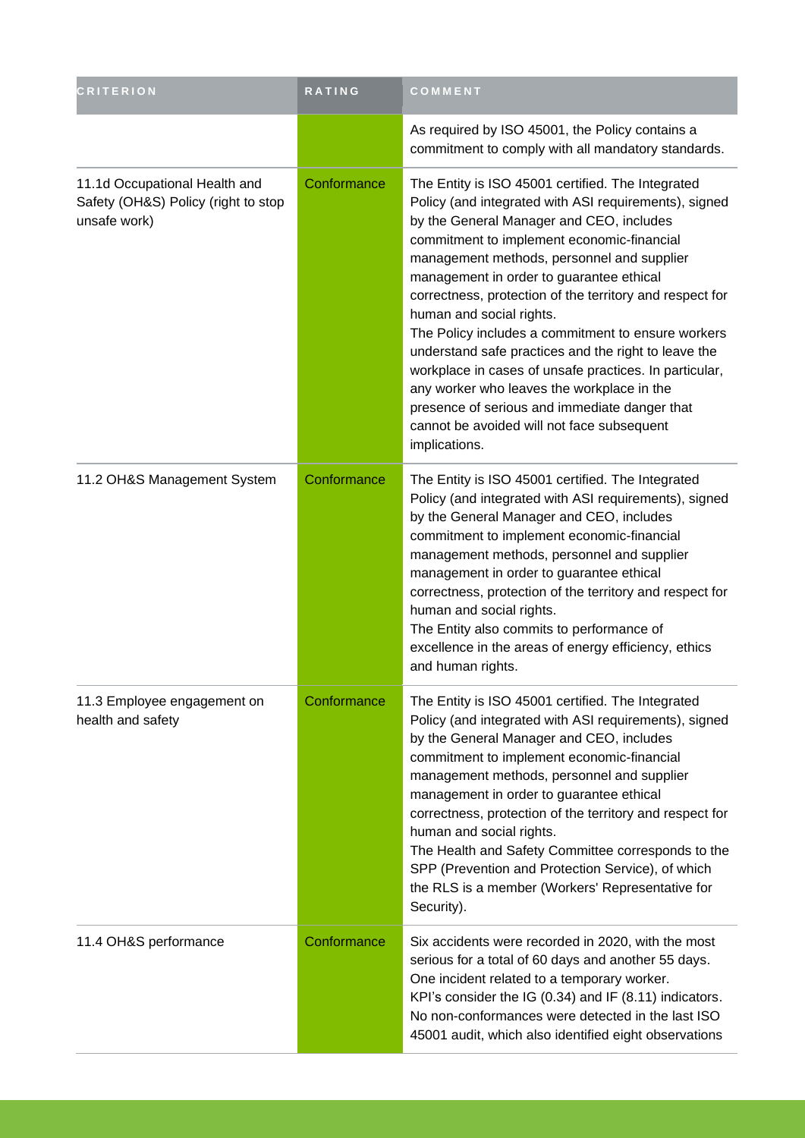| <b>CRITERION</b>                                                                     | RATING      | COMMENT                                                                                                                                                                                                                                                                                                                                                                                                                                                                                                                                                                                                                                                                                                                      |
|--------------------------------------------------------------------------------------|-------------|------------------------------------------------------------------------------------------------------------------------------------------------------------------------------------------------------------------------------------------------------------------------------------------------------------------------------------------------------------------------------------------------------------------------------------------------------------------------------------------------------------------------------------------------------------------------------------------------------------------------------------------------------------------------------------------------------------------------------|
|                                                                                      |             | As required by ISO 45001, the Policy contains a<br>commitment to comply with all mandatory standards.                                                                                                                                                                                                                                                                                                                                                                                                                                                                                                                                                                                                                        |
| 11.1d Occupational Health and<br>Safety (OH&S) Policy (right to stop<br>unsafe work) | Conformance | The Entity is ISO 45001 certified. The Integrated<br>Policy (and integrated with ASI requirements), signed<br>by the General Manager and CEO, includes<br>commitment to implement economic-financial<br>management methods, personnel and supplier<br>management in order to guarantee ethical<br>correctness, protection of the territory and respect for<br>human and social rights.<br>The Policy includes a commitment to ensure workers<br>understand safe practices and the right to leave the<br>workplace in cases of unsafe practices. In particular,<br>any worker who leaves the workplace in the<br>presence of serious and immediate danger that<br>cannot be avoided will not face subsequent<br>implications. |
| 11.2 OH&S Management System                                                          | Conformance | The Entity is ISO 45001 certified. The Integrated<br>Policy (and integrated with ASI requirements), signed<br>by the General Manager and CEO, includes<br>commitment to implement economic-financial<br>management methods, personnel and supplier<br>management in order to guarantee ethical<br>correctness, protection of the territory and respect for<br>human and social rights.<br>The Entity also commits to performance of<br>excellence in the areas of energy efficiency, ethics<br>and human rights.                                                                                                                                                                                                             |
| 11.3 Employee engagement on<br>health and safety                                     | Conformance | The Entity is ISO 45001 certified. The Integrated<br>Policy (and integrated with ASI requirements), signed<br>by the General Manager and CEO, includes<br>commitment to implement economic-financial<br>management methods, personnel and supplier<br>management in order to guarantee ethical<br>correctness, protection of the territory and respect for<br>human and social rights.<br>The Health and Safety Committee corresponds to the<br>SPP (Prevention and Protection Service), of which<br>the RLS is a member (Workers' Representative for<br>Security).                                                                                                                                                          |
| 11.4 OH&S performance                                                                | Conformance | Six accidents were recorded in 2020, with the most<br>serious for a total of 60 days and another 55 days.<br>One incident related to a temporary worker.<br>KPI's consider the IG (0.34) and IF (8.11) indicators.<br>No non-conformances were detected in the last ISO<br>45001 audit, which also identified eight observations                                                                                                                                                                                                                                                                                                                                                                                             |